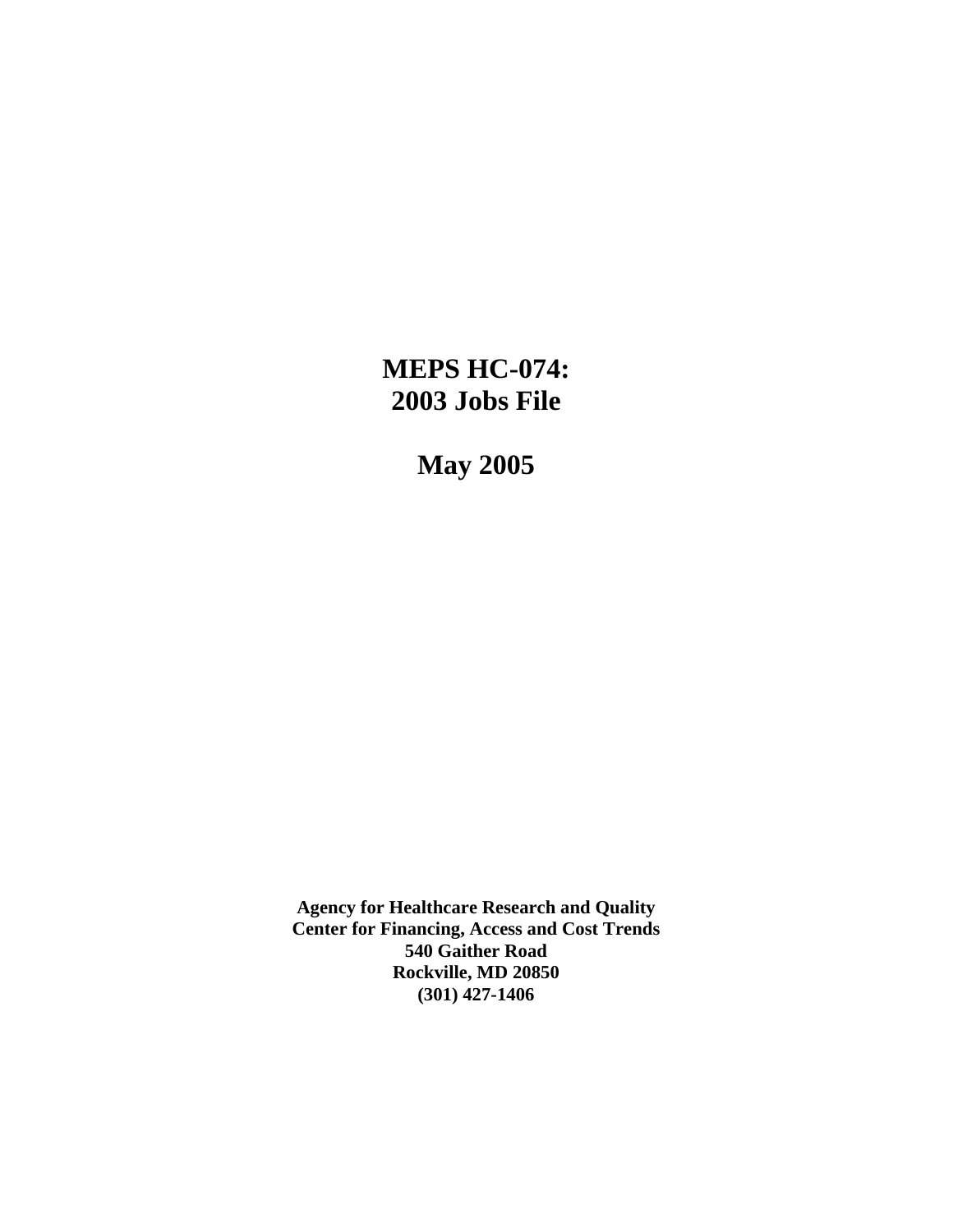# **MEPS HC-074: 2003 Jobs File**

**May 2005** 

**Agency for Healthcare Research and Quality Center for Financing, Access and Cost Trends 540 Gaither Road Rockville, MD 20850 (301) 427-1406**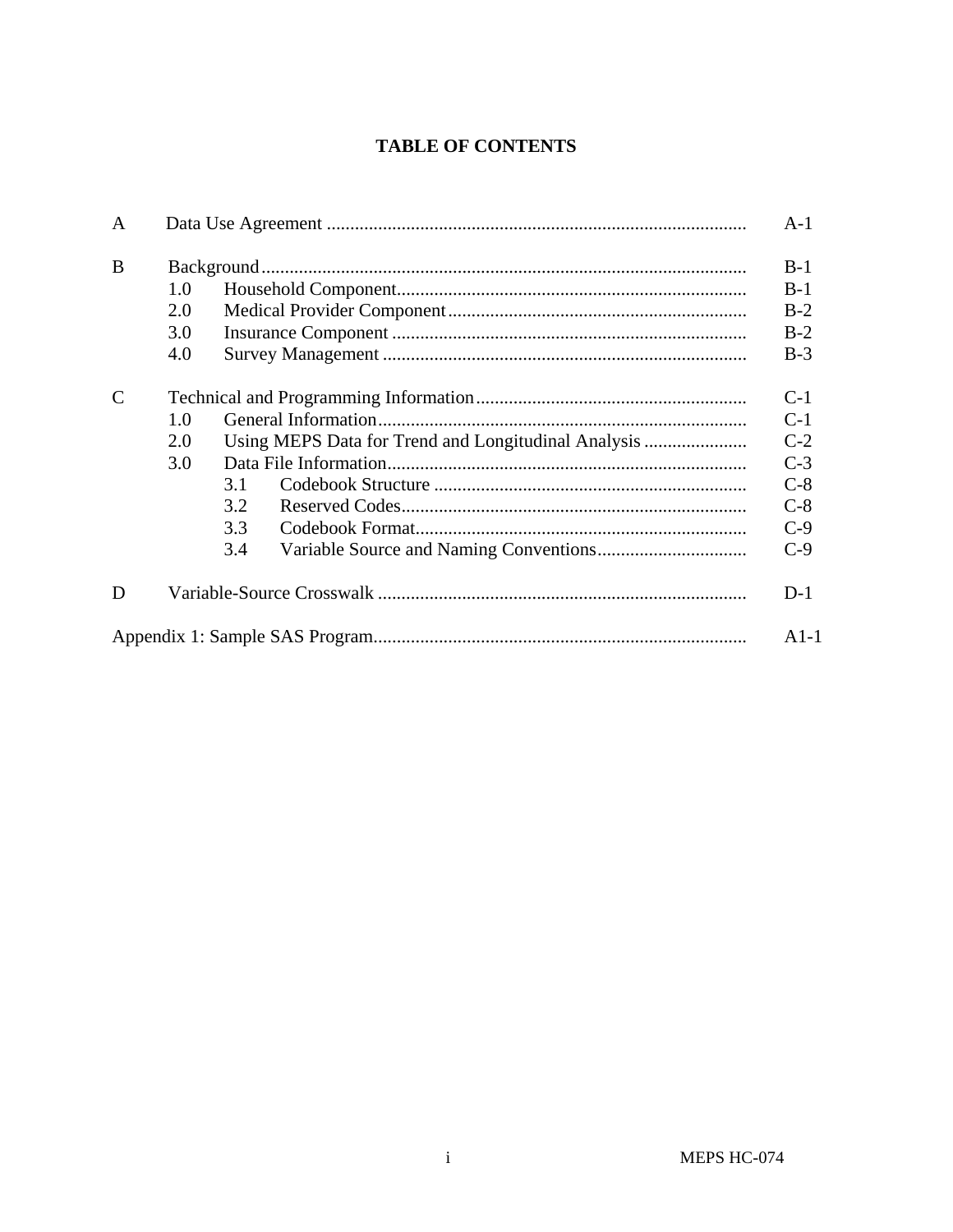# **TABLE OF CONTENTS**

| A             |     |     |                                                     | $A-1$  |  |  |  |
|---------------|-----|-----|-----------------------------------------------------|--------|--|--|--|
| B             |     |     |                                                     | $B-1$  |  |  |  |
|               | 1.0 |     |                                                     | $B-1$  |  |  |  |
|               | 2.0 |     |                                                     | $B-2$  |  |  |  |
|               | 3.0 |     |                                                     | $B-2$  |  |  |  |
|               | 4.0 |     |                                                     | $B-3$  |  |  |  |
| $\mathcal{C}$ |     |     |                                                     | $C-1$  |  |  |  |
|               | 1.0 |     |                                                     |        |  |  |  |
|               | 2.0 |     | Using MEPS Data for Trend and Longitudinal Analysis | $C-2$  |  |  |  |
|               | 3.0 |     |                                                     | $C-3$  |  |  |  |
|               |     | 3.1 |                                                     | $C-8$  |  |  |  |
|               |     | 3.2 |                                                     | $C-8$  |  |  |  |
|               |     | 3.3 |                                                     | $C-9$  |  |  |  |
|               |     | 3.4 |                                                     | $C-9$  |  |  |  |
| D             |     |     |                                                     | $D-1$  |  |  |  |
|               |     |     |                                                     | $A1-1$ |  |  |  |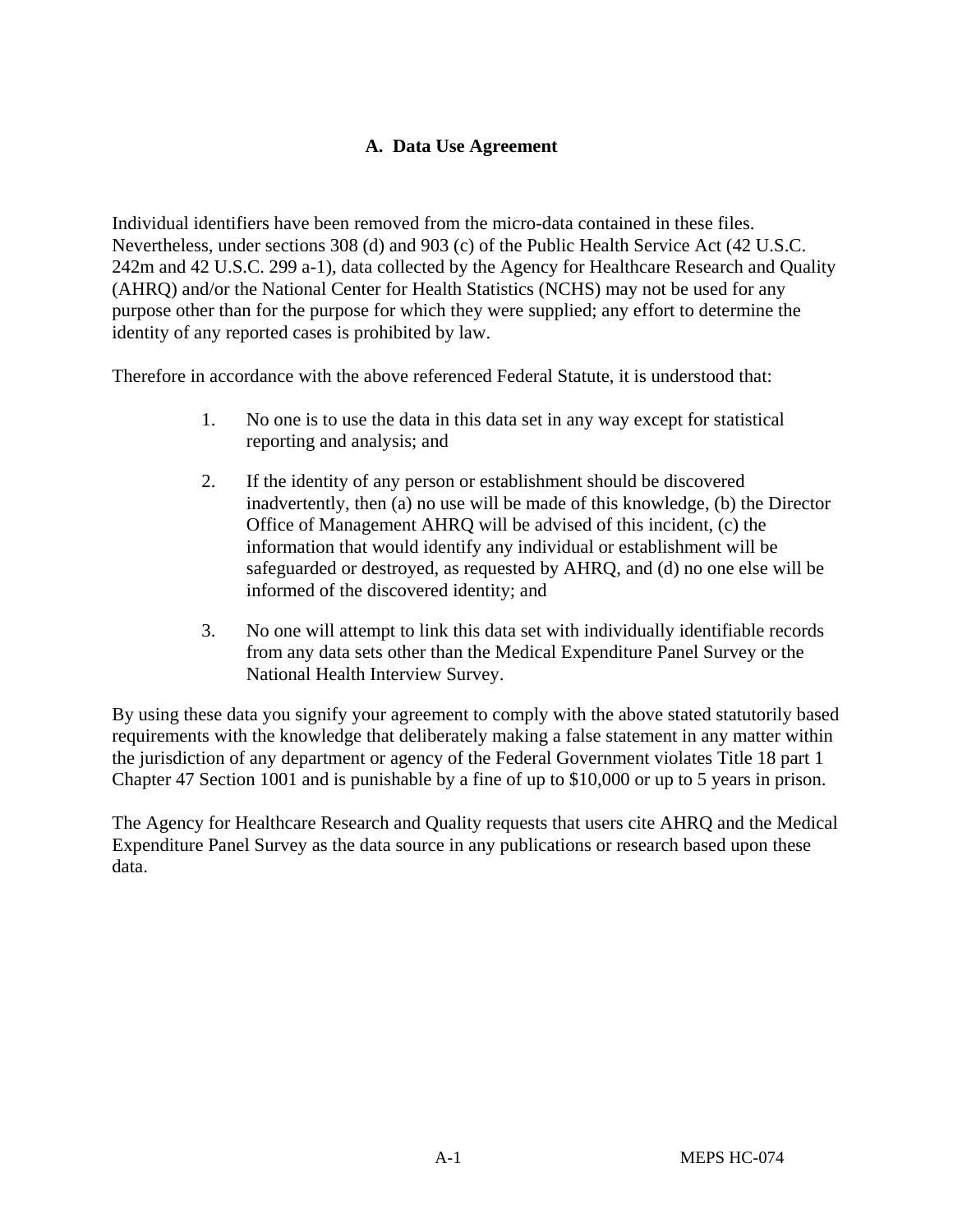# **A. Data Use Agreement**

Individual identifiers have been removed from the micro-data contained in these files. Nevertheless, under sections 308 (d) and 903 (c) of the Public Health Service Act (42 U.S.C. 242m and 42 U.S.C. 299 a-1), data collected by the Agency for Healthcare Research and Quality (AHRQ) and/or the National Center for Health Statistics (NCHS) may not be used for any purpose other than for the purpose for which they were supplied; any effort to determine the identity of any reported cases is prohibited by law.

Therefore in accordance with the above referenced Federal Statute, it is understood that:

- 1. No one is to use the data in this data set in any way except for statistical reporting and analysis; and
- 2. If the identity of any person or establishment should be discovered inadvertently, then (a) no use will be made of this knowledge, (b) the Director Office of Management AHRQ will be advised of this incident, (c) the information that would identify any individual or establishment will be safeguarded or destroyed, as requested by AHRQ, and (d) no one else will be informed of the discovered identity; and
- 3. No one will attempt to link this data set with individually identifiable records from any data sets other than the Medical Expenditure Panel Survey or the National Health Interview Survey.

By using these data you signify your agreement to comply with the above stated statutorily based requirements with the knowledge that deliberately making a false statement in any matter within the jurisdiction of any department or agency of the Federal Government violates Title 18 part 1 Chapter 47 Section 1001 and is punishable by a fine of up to \$10,000 or up to 5 years in prison.

The Agency for Healthcare Research and Quality requests that users cite AHRQ and the Medical Expenditure Panel Survey as the data source in any publications or research based upon these data.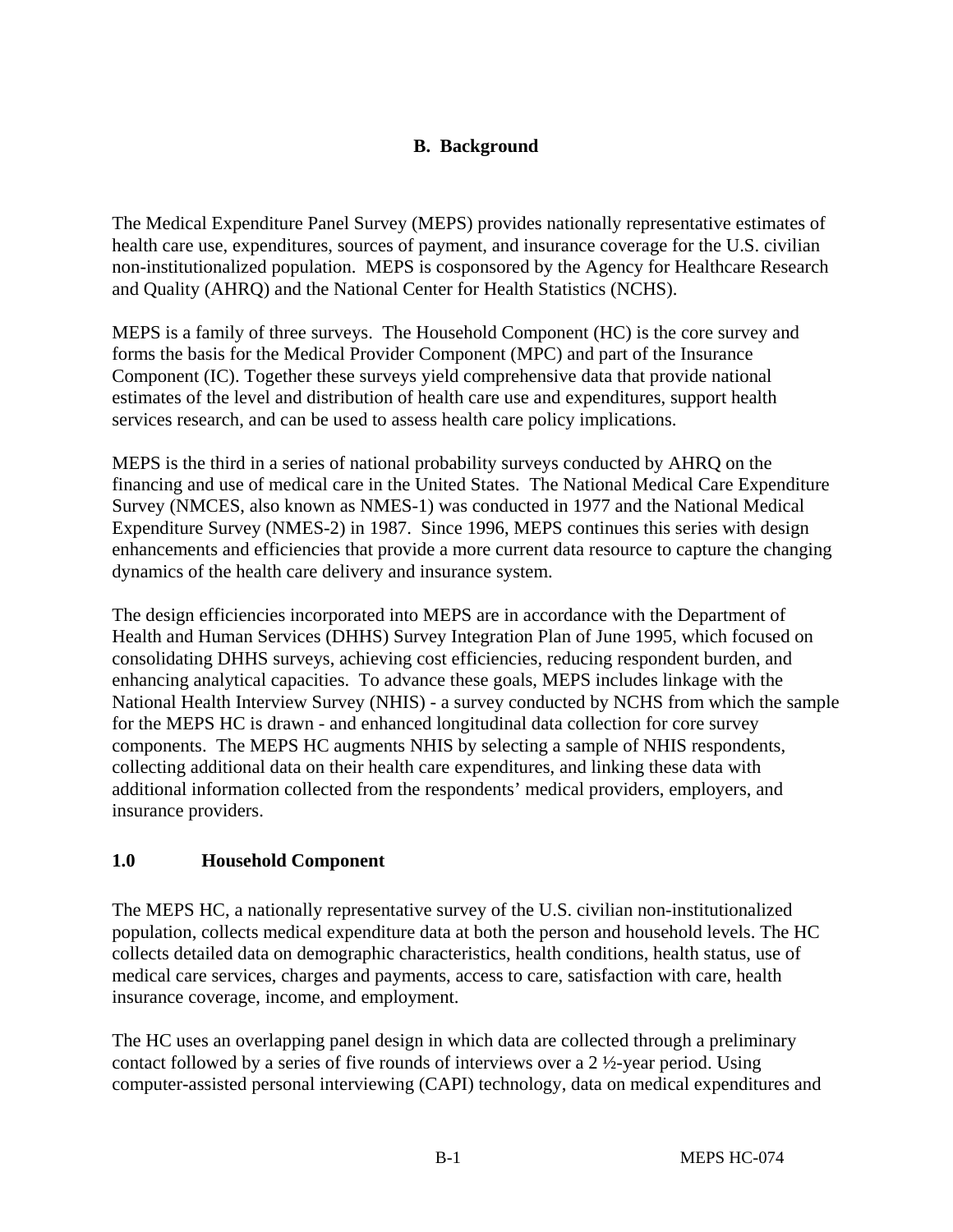# **B. Background**

The Medical Expenditure Panel Survey (MEPS) provides nationally representative estimates of health care use, expenditures, sources of payment, and insurance coverage for the U.S. civilian non-institutionalized population. MEPS is cosponsored by the Agency for Healthcare Research and Quality (AHRQ) and the National Center for Health Statistics (NCHS).

MEPS is a family of three surveys. The Household Component (HC) is the core survey and forms the basis for the Medical Provider Component (MPC) and part of the Insurance Component (IC). Together these surveys yield comprehensive data that provide national estimates of the level and distribution of health care use and expenditures, support health services research, and can be used to assess health care policy implications.

MEPS is the third in a series of national probability surveys conducted by AHRQ on the financing and use of medical care in the United States. The National Medical Care Expenditure Survey (NMCES, also known as NMES-1) was conducted in 1977 and the National Medical Expenditure Survey (NMES-2) in 1987. Since 1996, MEPS continues this series with design enhancements and efficiencies that provide a more current data resource to capture the changing dynamics of the health care delivery and insurance system.

The design efficiencies incorporated into MEPS are in accordance with the Department of Health and Human Services (DHHS) Survey Integration Plan of June 1995, which focused on consolidating DHHS surveys, achieving cost efficiencies, reducing respondent burden, and enhancing analytical capacities. To advance these goals, MEPS includes linkage with the National Health Interview Survey (NHIS) - a survey conducted by NCHS from which the sample for the MEPS HC is drawn - and enhanced longitudinal data collection for core survey components. The MEPS HC augments NHIS by selecting a sample of NHIS respondents, collecting additional data on their health care expenditures, and linking these data with additional information collected from the respondents' medical providers, employers, and insurance providers.

# **1.0 Household Component**

The MEPS HC, a nationally representative survey of the U.S. civilian non-institutionalized population, collects medical expenditure data at both the person and household levels. The HC collects detailed data on demographic characteristics, health conditions, health status, use of medical care services, charges and payments, access to care, satisfaction with care, health insurance coverage, income, and employment.

The HC uses an overlapping panel design in which data are collected through a preliminary contact followed by a series of five rounds of interviews over a 2 ½-year period. Using computer-assisted personal interviewing (CAPI) technology, data on medical expenditures and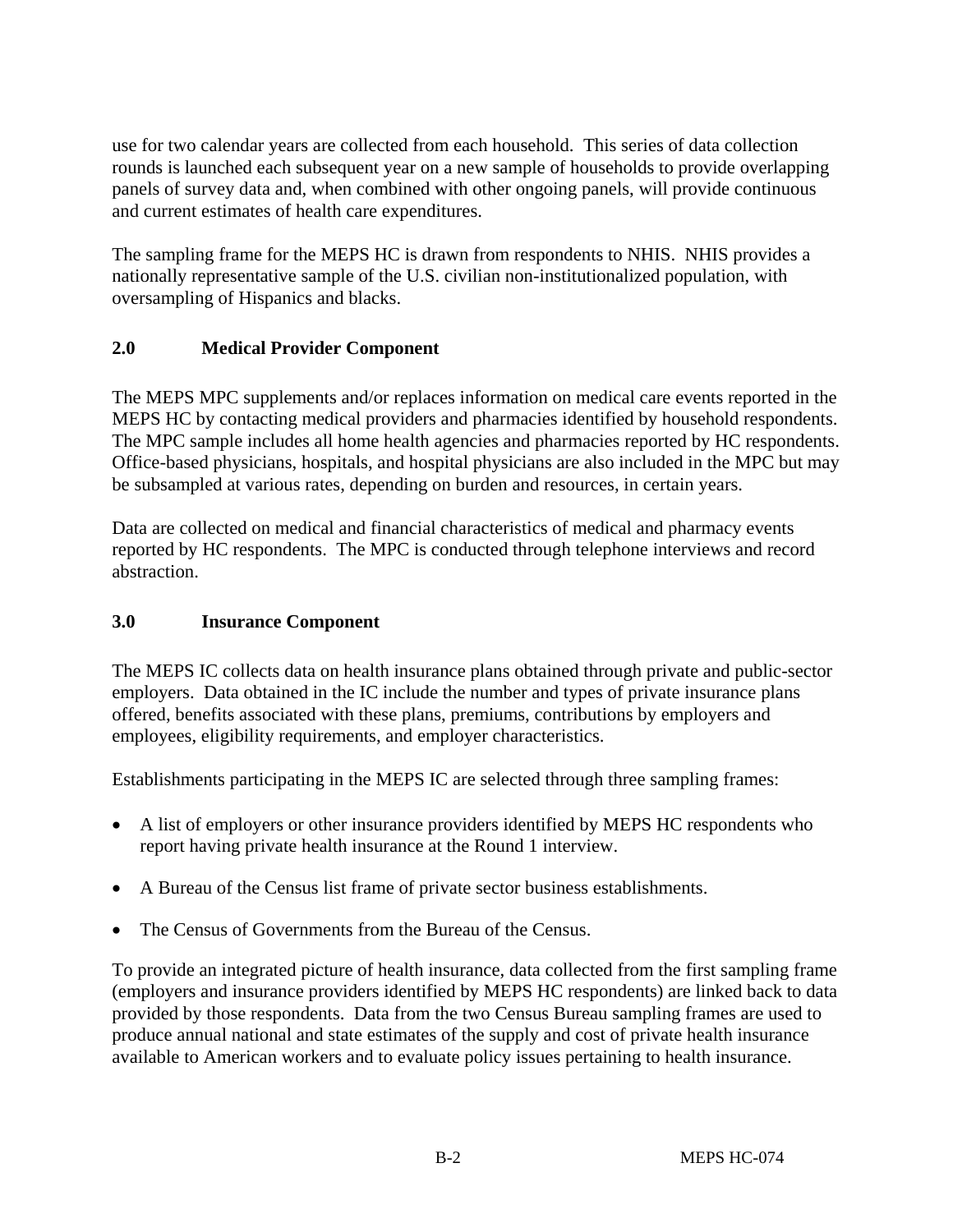use for two calendar years are collected from each household. This series of data collection rounds is launched each subsequent year on a new sample of households to provide overlapping panels of survey data and, when combined with other ongoing panels, will provide continuous and current estimates of health care expenditures.

The sampling frame for the MEPS HC is drawn from respondents to NHIS. NHIS provides a nationally representative sample of the U.S. civilian non-institutionalized population, with oversampling of Hispanics and blacks.

# **2.0 Medical Provider Component**

The MEPS MPC supplements and/or replaces information on medical care events reported in the MEPS HC by contacting medical providers and pharmacies identified by household respondents. The MPC sample includes all home health agencies and pharmacies reported by HC respondents. Office-based physicians, hospitals, and hospital physicians are also included in the MPC but may be subsampled at various rates, depending on burden and resources, in certain years.

Data are collected on medical and financial characteristics of medical and pharmacy events reported by HC respondents. The MPC is conducted through telephone interviews and record abstraction.

## **3.0 Insurance Component**

The MEPS IC collects data on health insurance plans obtained through private and public-sector employers. Data obtained in the IC include the number and types of private insurance plans offered, benefits associated with these plans, premiums, contributions by employers and employees, eligibility requirements, and employer characteristics.

Establishments participating in the MEPS IC are selected through three sampling frames:

- A list of employers or other insurance providers identified by MEPS HC respondents who report having private health insurance at the Round 1 interview.
- A Bureau of the Census list frame of private sector business establishments.
- The Census of Governments from the Bureau of the Census.

To provide an integrated picture of health insurance, data collected from the first sampling frame (employers and insurance providers identified by MEPS HC respondents) are linked back to data provided by those respondents. Data from the two Census Bureau sampling frames are used to produce annual national and state estimates of the supply and cost of private health insurance available to American workers and to evaluate policy issues pertaining to health insurance.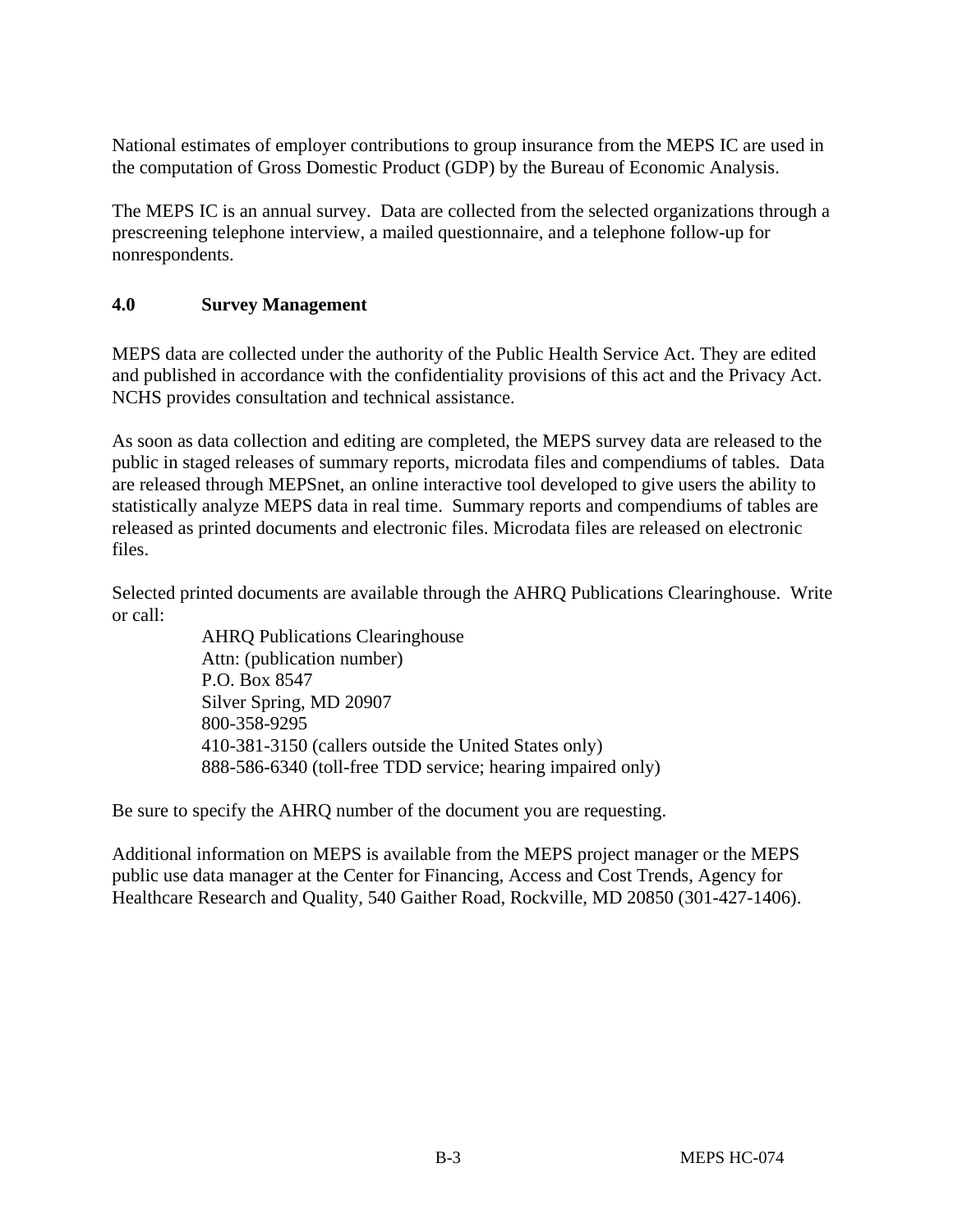National estimates of employer contributions to group insurance from the MEPS IC are used in the computation of Gross Domestic Product (GDP) by the Bureau of Economic Analysis.

The MEPS IC is an annual survey. Data are collected from the selected organizations through a prescreening telephone interview, a mailed questionnaire, and a telephone follow-up for nonrespondents.

# **4.0 Survey Management**

MEPS data are collected under the authority of the Public Health Service Act. They are edited and published in accordance with the confidentiality provisions of this act and the Privacy Act. NCHS provides consultation and technical assistance.

As soon as data collection and editing are completed, the MEPS survey data are released to the public in staged releases of summary reports, microdata files and compendiums of tables. Data are released through MEPSnet, an online interactive tool developed to give users the ability to statistically analyze MEPS data in real time. Summary reports and compendiums of tables are released as printed documents and electronic files. Microdata files are released on electronic files.

Selected printed documents are available through the AHRQ Publications Clearinghouse. Write or call:

> AHRQ Publications Clearinghouse Attn: (publication number) P.O. Box 8547 Silver Spring, MD 20907 800-358-9295 410-381-3150 (callers outside the United States only) 888-586-6340 (toll-free TDD service; hearing impaired only)

Be sure to specify the AHRQ number of the document you are requesting.

Additional information on MEPS is available from the MEPS project manager or the MEPS public use data manager at the Center for Financing, Access and Cost Trends, Agency for Healthcare Research and Quality, 540 Gaither Road, Rockville, MD 20850 (301-427-1406).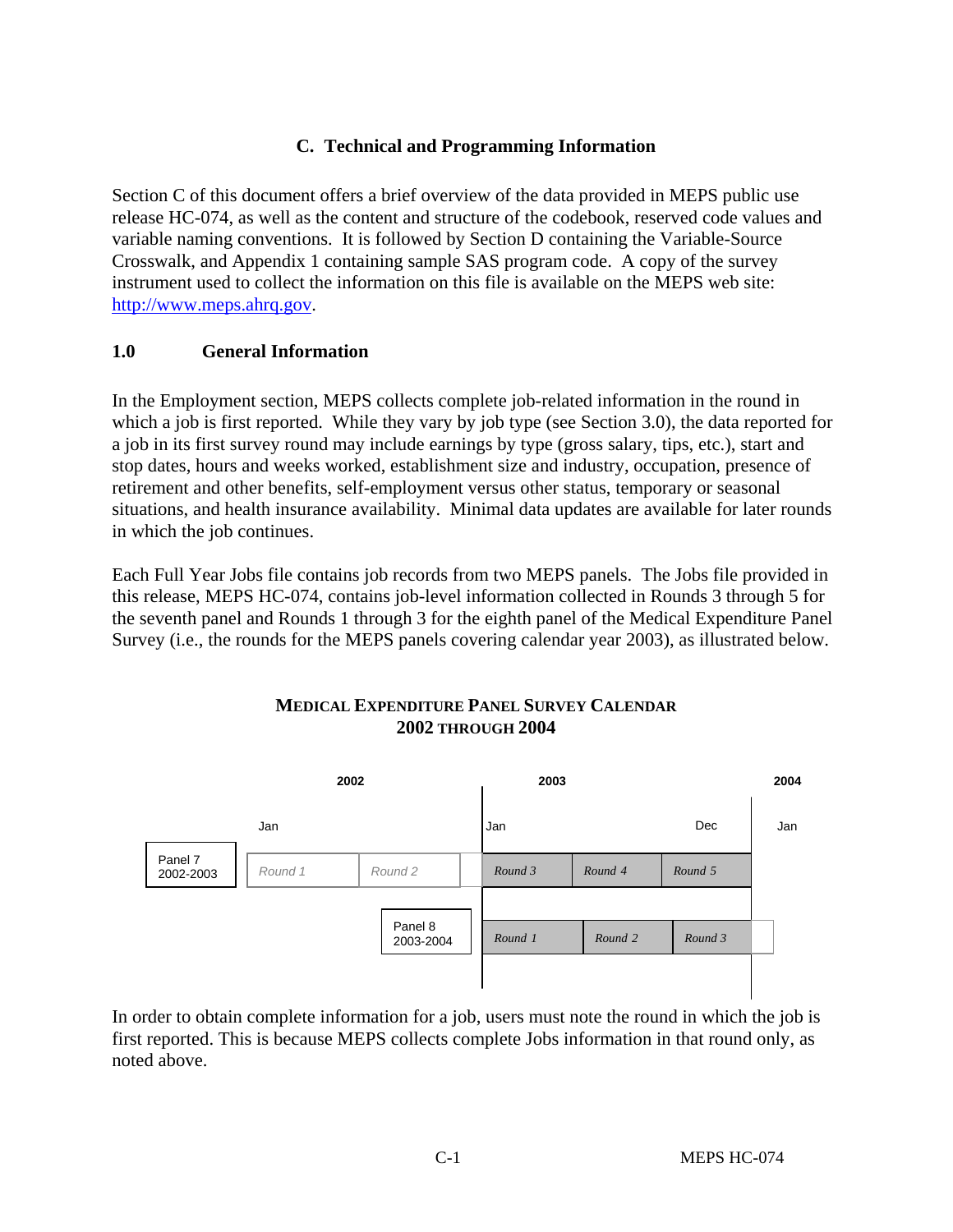# **C. Technical and Programming Information**

Section C of this document offers a brief overview of the data provided in MEPS public use release HC-074, as well as the content and structure of the codebook, reserved code values and variable naming conventions. It is followed by Section D containing the Variable-Source Crosswalk, and Appendix 1 containing sample SAS program code. A copy of the survey instrument used to collect the information on this file is available on the MEPS web site: [http://www.meps.ahrq.gov](http://www.meps.ahrq.gov/).

## **1.0 General Information**

In the Employment section, MEPS collects complete job-related information in the round in which a job is first reported. While they vary by job type (see Section 3.0), the data reported for a job in its first survey round may include earnings by type (gross salary, tips, etc.), start and stop dates, hours and weeks worked, establishment size and industry, occupation, presence of retirement and other benefits, self-employment versus other status, temporary or seasonal situations, and health insurance availability. Minimal data updates are available for later rounds in which the job continues.

Each Full Year Jobs file contains job records from two MEPS panels. The Jobs file provided in this release, MEPS HC-074, contains job-level information collected in Rounds 3 through 5 for the seventh panel and Rounds 1 through 3 for the eighth panel of the Medical Expenditure Panel Survey (i.e., the rounds for the MEPS panels covering calendar year 2003), as illustrated below.



## **MEDICAL EXPENDITURE PANEL SURVEY CALENDAR 2002 THROUGH 2004**

In order to obtain complete information for a job, users must note the round in which the job is first reported. This is because MEPS collects complete Jobs information in that round only, as noted above.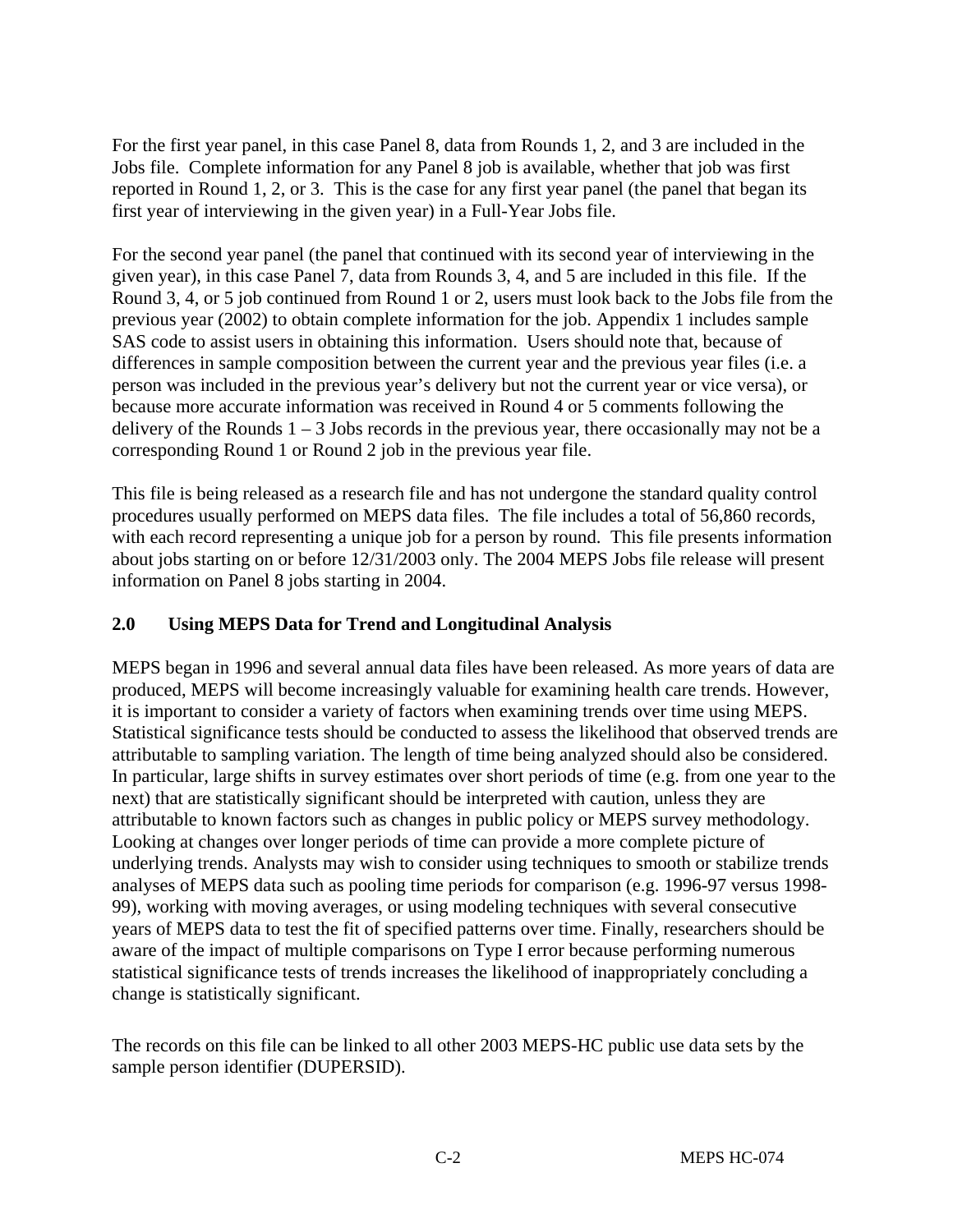For the first year panel, in this case Panel 8, data from Rounds 1, 2, and 3 are included in the Jobs file. Complete information for any Panel 8 job is available, whether that job was first reported in Round 1, 2, or 3. This is the case for any first year panel (the panel that began its first year of interviewing in the given year) in a Full-Year Jobs file.

For the second year panel (the panel that continued with its second year of interviewing in the given year), in this case Panel 7, data from Rounds 3, 4, and 5 are included in this file. If the Round 3, 4, or 5 job continued from Round 1 or 2, users must look back to the Jobs file from the previous year (2002) to obtain complete information for the job. Appendix 1 includes sample SAS code to assist users in obtaining this information. Users should note that, because of differences in sample composition between the current year and the previous year files (i.e. a person was included in the previous year's delivery but not the current year or vice versa), or because more accurate information was received in Round 4 or 5 comments following the delivery of the Rounds  $1 - 3$  Jobs records in the previous year, there occasionally may not be a corresponding Round 1 or Round 2 job in the previous year file.

This file is being released as a research file and has not undergone the standard quality control procedures usually performed on MEPS data files. The file includes a total of 56,860 records, with each record representing a unique job for a person by round. This file presents information about jobs starting on or before 12/31/2003 only. The 2004 MEPS Jobs file release will present information on Panel 8 jobs starting in 2004.

# **2.0 Using MEPS Data for Trend and Longitudinal Analysis**

MEPS began in 1996 and several annual data files have been released. As more years of data are produced, MEPS will become increasingly valuable for examining health care trends. However, it is important to consider a variety of factors when examining trends over time using MEPS. Statistical significance tests should be conducted to assess the likelihood that observed trends are attributable to sampling variation. The length of time being analyzed should also be considered. In particular, large shifts in survey estimates over short periods of time (e.g. from one year to the next) that are statistically significant should be interpreted with caution, unless they are attributable to known factors such as changes in public policy or MEPS survey methodology. Looking at changes over longer periods of time can provide a more complete picture of underlying trends. Analysts may wish to consider using techniques to smooth or stabilize trends analyses of MEPS data such as pooling time periods for comparison (e.g. 1996-97 versus 1998- 99), working with moving averages, or using modeling techniques with several consecutive years of MEPS data to test the fit of specified patterns over time. Finally, researchers should be aware of the impact of multiple comparisons on Type I error because performing numerous statistical significance tests of trends increases the likelihood of inappropriately concluding a change is statistically significant.

The records on this file can be linked to all other 2003 MEPS-HC public use data sets by the sample person identifier (DUPERSID).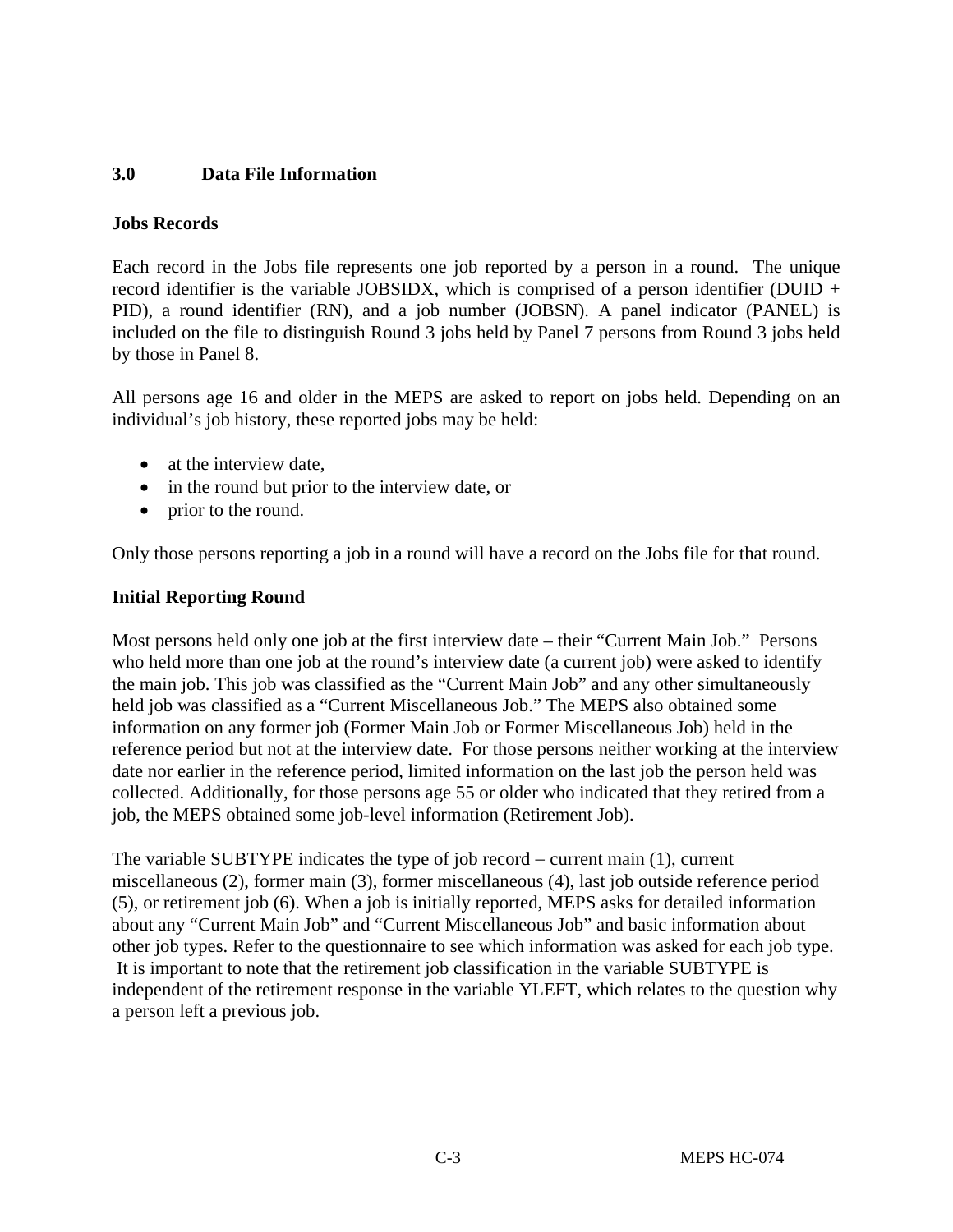## **3.0 Data File Information**

#### **Jobs Records**

Each record in the Jobs file represents one job reported by a person in a round. The unique record identifier is the variable JOBSIDX, which is comprised of a person identifier (DUID + PID), a round identifier (RN), and a job number (JOBSN). A panel indicator (PANEL) is included on the file to distinguish Round 3 jobs held by Panel 7 persons from Round 3 jobs held by those in Panel 8.

All persons age 16 and older in the MEPS are asked to report on jobs held. Depending on an individual's job history, these reported jobs may be held:

- at the interview date.
- in the round but prior to the interview date, or
- prior to the round.

Only those persons reporting a job in a round will have a record on the Jobs file for that round.

#### **Initial Reporting Round**

Most persons held only one job at the first interview date – their "Current Main Job." Persons who held more than one job at the round's interview date (a current job) were asked to identify the main job. This job was classified as the "Current Main Job" and any other simultaneously held job was classified as a "Current Miscellaneous Job." The MEPS also obtained some information on any former job (Former Main Job or Former Miscellaneous Job) held in the reference period but not at the interview date. For those persons neither working at the interview date nor earlier in the reference period, limited information on the last job the person held was collected. Additionally, for those persons age 55 or older who indicated that they retired from a job, the MEPS obtained some job-level information (Retirement Job).

The variable SUBTYPE indicates the type of job record − current main (1), current miscellaneous (2), former main (3), former miscellaneous (4), last job outside reference period (5), or retirement job (6). When a job is initially reported, MEPS asks for detailed information about any "Current Main Job" and "Current Miscellaneous Job" and basic information about other job types. Refer to the questionnaire to see which information was asked for each job type. It is important to note that the retirement job classification in the variable SUBTYPE is independent of the retirement response in the variable YLEFT, which relates to the question why a person left a previous job.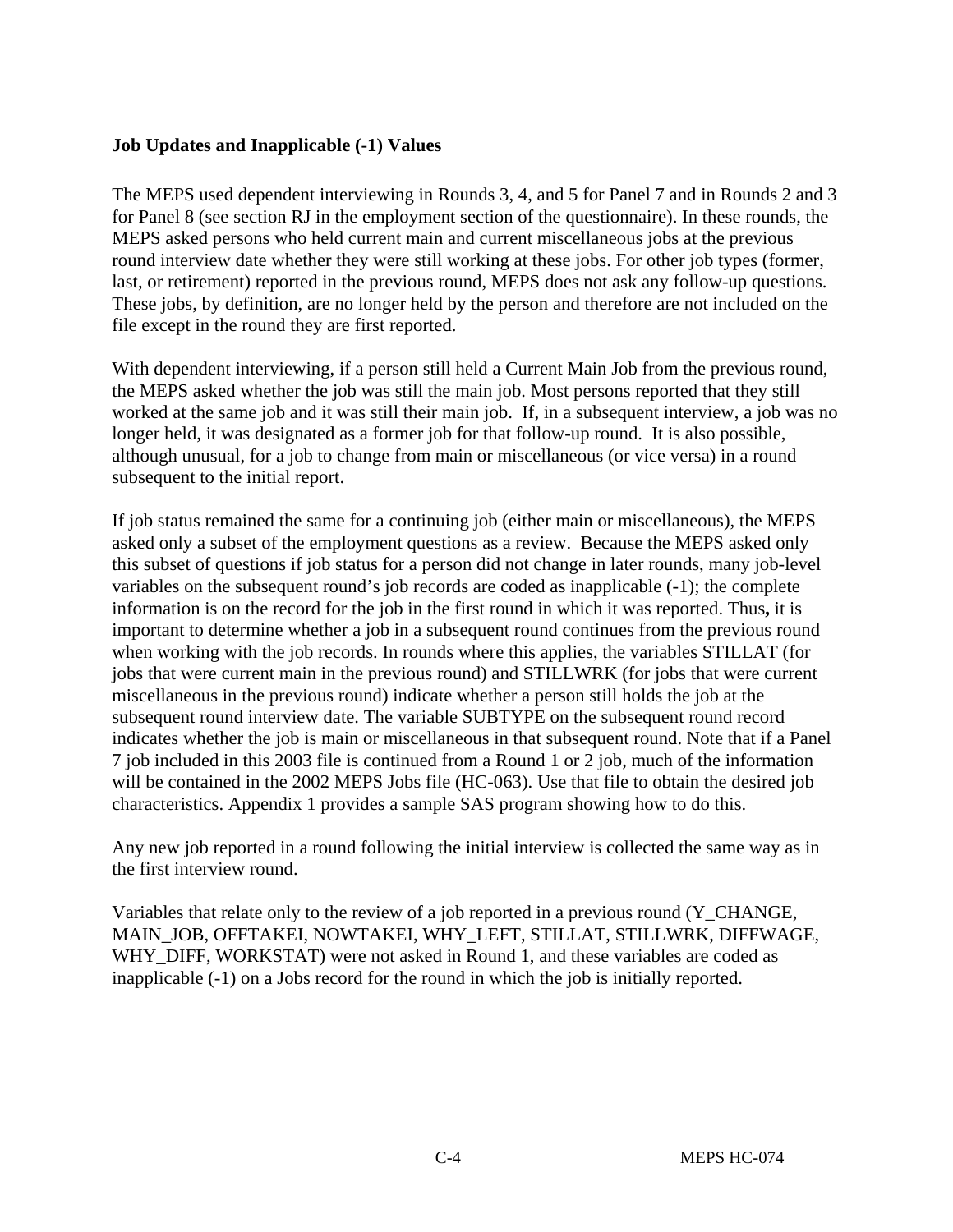#### **Job Updates and Inapplicable (-1) Values**

The MEPS used dependent interviewing in Rounds 3, 4, and 5 for Panel 7 and in Rounds 2 and 3 for Panel 8 (see section RJ in the employment section of the questionnaire). In these rounds, the MEPS asked persons who held current main and current miscellaneous jobs at the previous round interview date whether they were still working at these jobs. For other job types (former, last, or retirement) reported in the previous round, MEPS does not ask any follow-up questions. These jobs, by definition, are no longer held by the person and therefore are not included on the file except in the round they are first reported.

With dependent interviewing, if a person still held a Current Main Job from the previous round, the MEPS asked whether the job was still the main job. Most persons reported that they still worked at the same job and it was still their main job. If, in a subsequent interview, a job was no longer held, it was designated as a former job for that follow-up round. It is also possible, although unusual, for a job to change from main or miscellaneous (or vice versa) in a round subsequent to the initial report.

If job status remained the same for a continuing job (either main or miscellaneous), the MEPS asked only a subset of the employment questions as a review. Because the MEPS asked only this subset of questions if job status for a person did not change in later rounds, many job-level variables on the subsequent round's job records are coded as inapplicable (-1); the complete information is on the record for the job in the first round in which it was reported. Thus**,** it is important to determine whether a job in a subsequent round continues from the previous round when working with the job records. In rounds where this applies, the variables STILLAT (for jobs that were current main in the previous round) and STILLWRK (for jobs that were current miscellaneous in the previous round) indicate whether a person still holds the job at the subsequent round interview date. The variable SUBTYPE on the subsequent round record indicates whether the job is main or miscellaneous in that subsequent round. Note that if a Panel 7 job included in this 2003 file is continued from a Round 1 or 2 job, much of the information will be contained in the 2002 MEPS Jobs file (HC-063). Use that file to obtain the desired job characteristics. Appendix 1 provides a sample SAS program showing how to do this.

Any new job reported in a round following the initial interview is collected the same way as in the first interview round.

Variables that relate only to the review of a job reported in a previous round (Y\_CHANGE, MAIN\_JOB, OFFTAKEI, NOWTAKEI, WHY\_LEFT, STILLAT, STILLWRK, DIFFWAGE, WHY DIFF, WORKSTAT) were not asked in Round 1, and these variables are coded as inapplicable (-1) on a Jobs record for the round in which the job is initially reported.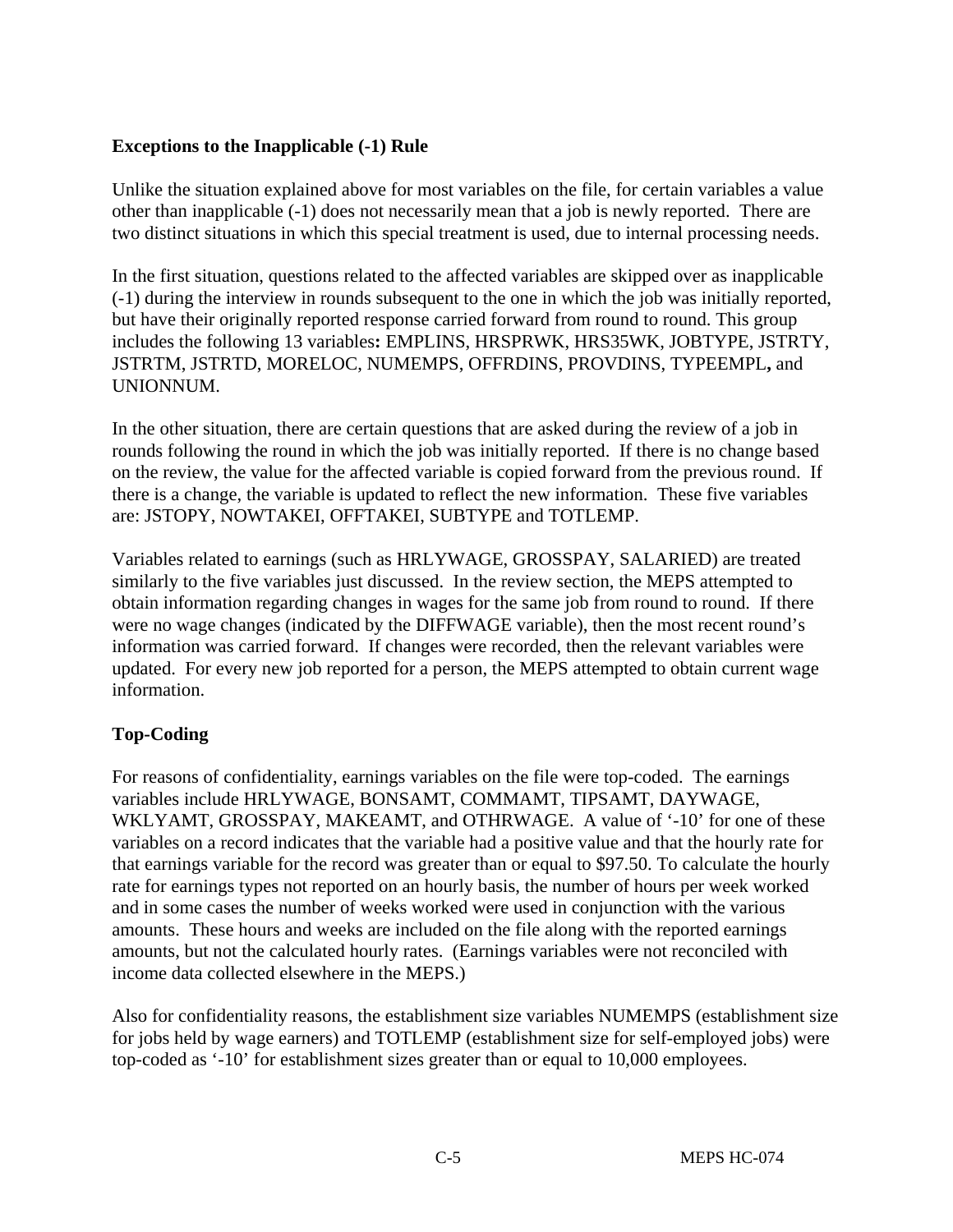# **Exceptions to the Inapplicable (-1) Rule**

Unlike the situation explained above for most variables on the file, for certain variables a value other than inapplicable (-1) does not necessarily mean that a job is newly reported. There are two distinct situations in which this special treatment is used, due to internal processing needs.

In the first situation, questions related to the affected variables are skipped over as inapplicable (-1) during the interview in rounds subsequent to the one in which the job was initially reported, but have their originally reported response carried forward from round to round. This group includes the following 13 variables**:** EMPLINS, HRSPRWK, HRS35WK, JOBTYPE, JSTRTY, JSTRTM, JSTRTD, MORELOC, NUMEMPS, OFFRDINS, PROVDINS, TYPEEMPL**,** and UNIONNUM.

In the other situation, there are certain questions that are asked during the review of a job in rounds following the round in which the job was initially reported. If there is no change based on the review, the value for the affected variable is copied forward from the previous round. If there is a change, the variable is updated to reflect the new information. These five variables are: JSTOPY, NOWTAKEI, OFFTAKEI, SUBTYPE and TOTLEMP.

Variables related to earnings (such as HRLYWAGE, GROSSPAY, SALARIED) are treated similarly to the five variables just discussed. In the review section, the MEPS attempted to obtain information regarding changes in wages for the same job from round to round. If there were no wage changes (indicated by the DIFFWAGE variable), then the most recent round's information was carried forward. If changes were recorded, then the relevant variables were updated. For every new job reported for a person, the MEPS attempted to obtain current wage information.

## **Top-Coding**

For reasons of confidentiality, earnings variables on the file were top-coded. The earnings variables include HRLYWAGE, BONSAMT, COMMAMT, TIPSAMT, DAYWAGE, WKLYAMT, GROSSPAY, MAKEAMT, and OTHRWAGE. A value of '-10' for one of these variables on a record indicates that the variable had a positive value and that the hourly rate for that earnings variable for the record was greater than or equal to \$97.50. To calculate the hourly rate for earnings types not reported on an hourly basis, the number of hours per week worked and in some cases the number of weeks worked were used in conjunction with the various amounts. These hours and weeks are included on the file along with the reported earnings amounts, but not the calculated hourly rates. (Earnings variables were not reconciled with income data collected elsewhere in the MEPS.)

Also for confidentiality reasons, the establishment size variables NUMEMPS (establishment size for jobs held by wage earners) and TOTLEMP (establishment size for self-employed jobs) were top-coded as '-10' for establishment sizes greater than or equal to 10,000 employees.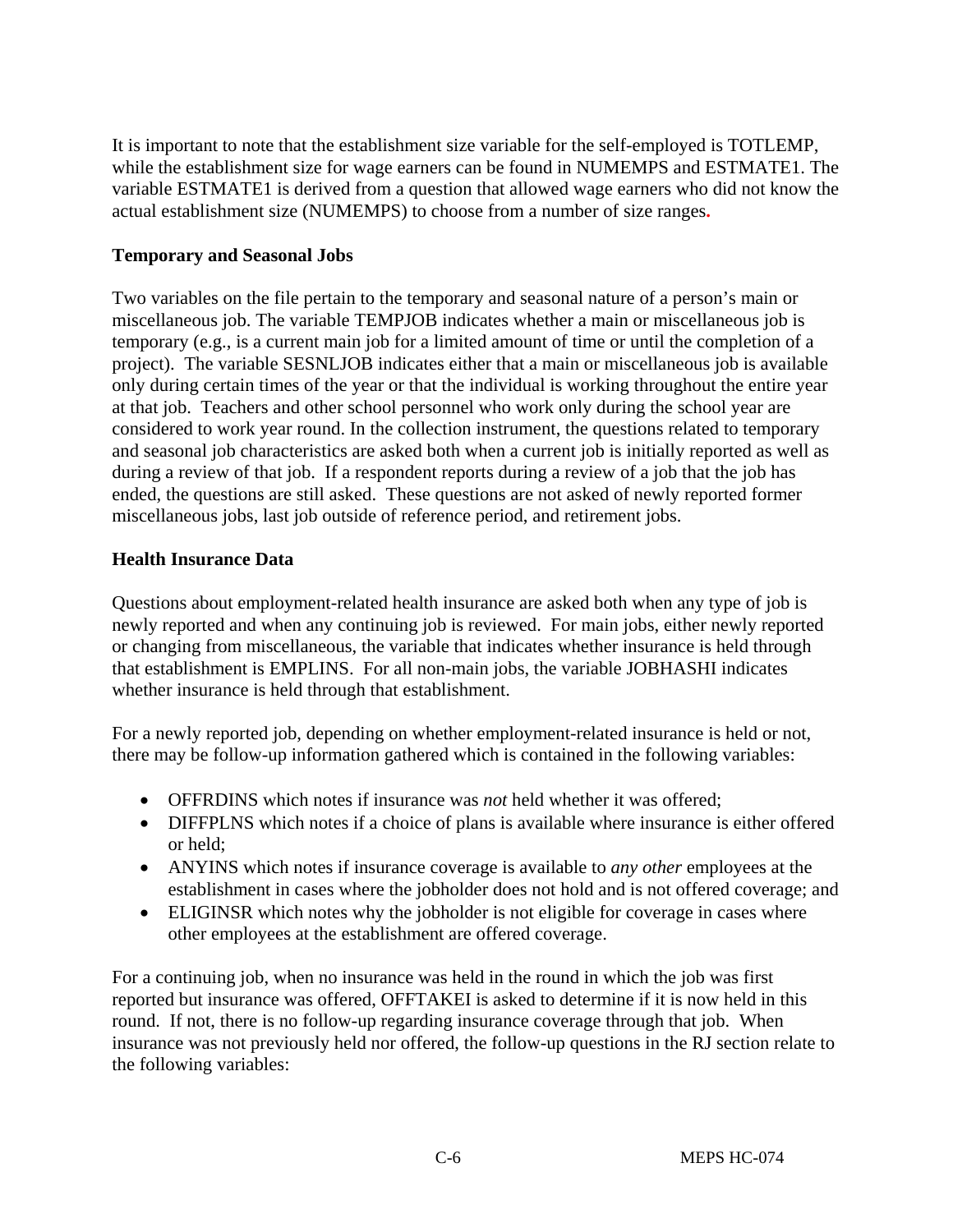It is important to note that the establishment size variable for the self-employed is TOTLEMP, while the establishment size for wage earners can be found in NUMEMPS and ESTMATE1. The variable ESTMATE1 is derived from a question that allowed wage earners who did not know the actual establishment size (NUMEMPS) to choose from a number of size ranges**.** 

## **Temporary and Seasonal Jobs**

Two variables on the file pertain to the temporary and seasonal nature of a person's main or miscellaneous job. The variable TEMPJOB indicates whether a main or miscellaneous job is temporary (e.g., is a current main job for a limited amount of time or until the completion of a project). The variable SESNLJOB indicates either that a main or miscellaneous job is available only during certain times of the year or that the individual is working throughout the entire year at that job. Teachers and other school personnel who work only during the school year are considered to work year round. In the collection instrument, the questions related to temporary and seasonal job characteristics are asked both when a current job is initially reported as well as during a review of that job. If a respondent reports during a review of a job that the job has ended, the questions are still asked. These questions are not asked of newly reported former miscellaneous jobs, last job outside of reference period, and retirement jobs.

# **Health Insurance Data**

Questions about employment-related health insurance are asked both when any type of job is newly reported and when any continuing job is reviewed. For main jobs, either newly reported or changing from miscellaneous, the variable that indicates whether insurance is held through that establishment is EMPLINS. For all non-main jobs, the variable JOBHASHI indicates whether insurance is held through that establishment.

For a newly reported job, depending on whether employment-related insurance is held or not, there may be follow-up information gathered which is contained in the following variables:

- OFFRDINS which notes if insurance was *not* held whether it was offered;
- DIFFPLNS which notes if a choice of plans is available where insurance is either offered or held;
- ANYINS which notes if insurance coverage is available to *any other* employees at the establishment in cases where the jobholder does not hold and is not offered coverage; and
- ELIGINSR which notes why the jobholder is not eligible for coverage in cases where other employees at the establishment are offered coverage.

For a continuing job, when no insurance was held in the round in which the job was first reported but insurance was offered, OFFTAKEI is asked to determine if it is now held in this round. If not, there is no follow-up regarding insurance coverage through that job. When insurance was not previously held nor offered, the follow-up questions in the RJ section relate to the following variables: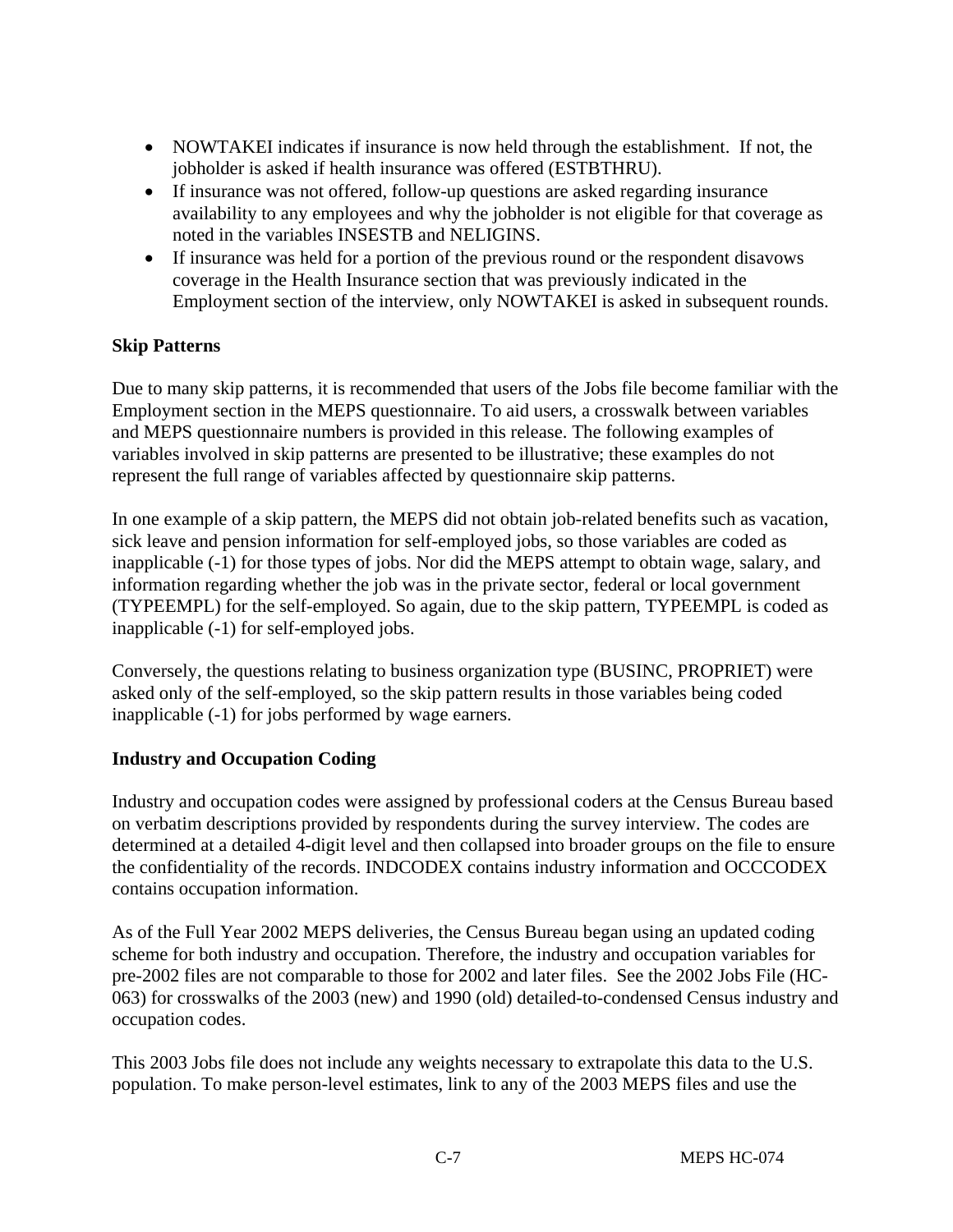- NOWTAKEI indicates if insurance is now held through the establishment. If not, the jobholder is asked if health insurance was offered (ESTBTHRU).
- If insurance was not offered, follow-up questions are asked regarding insurance availability to any employees and why the jobholder is not eligible for that coverage as noted in the variables INSESTB and NELIGINS.
- If insurance was held for a portion of the previous round or the respondent disavows coverage in the Health Insurance section that was previously indicated in the Employment section of the interview, only NOWTAKEI is asked in subsequent rounds.

#### **Skip Patterns**

Due to many skip patterns, it is recommended that users of the Jobs file become familiar with the Employment section in the MEPS questionnaire. To aid users, a crosswalk between variables and MEPS questionnaire numbers is provided in this release. The following examples of variables involved in skip patterns are presented to be illustrative; these examples do not represent the full range of variables affected by questionnaire skip patterns.

In one example of a skip pattern, the MEPS did not obtain job-related benefits such as vacation, sick leave and pension information for self-employed jobs, so those variables are coded as inapplicable (-1) for those types of jobs. Nor did the MEPS attempt to obtain wage, salary, and information regarding whether the job was in the private sector, federal or local government (TYPEEMPL) for the self-employed. So again, due to the skip pattern, TYPEEMPL is coded as inapplicable (-1) for self-employed jobs.

Conversely, the questions relating to business organization type (BUSINC, PROPRIET) were asked only of the self-employed, so the skip pattern results in those variables being coded inapplicable (-1) for jobs performed by wage earners.

#### **Industry and Occupation Coding**

Industry and occupation codes were assigned by professional coders at the Census Bureau based on verbatim descriptions provided by respondents during the survey interview. The codes are determined at a detailed 4-digit level and then collapsed into broader groups on the file to ensure the confidentiality of the records. INDCODEX contains industry information and OCCCODEX contains occupation information.

As of the Full Year 2002 MEPS deliveries, the Census Bureau began using an updated coding scheme for both industry and occupation. Therefore, the industry and occupation variables for pre-2002 files are not comparable to those for 2002 and later files. See the 2002 Jobs File (HC-063) for crosswalks of the 2003 (new) and 1990 (old) detailed-to-condensed Census industry and occupation codes.

This 2003 Jobs file does not include any weights necessary to extrapolate this data to the U.S. population. To make person-level estimates, link to any of the 2003 MEPS files and use the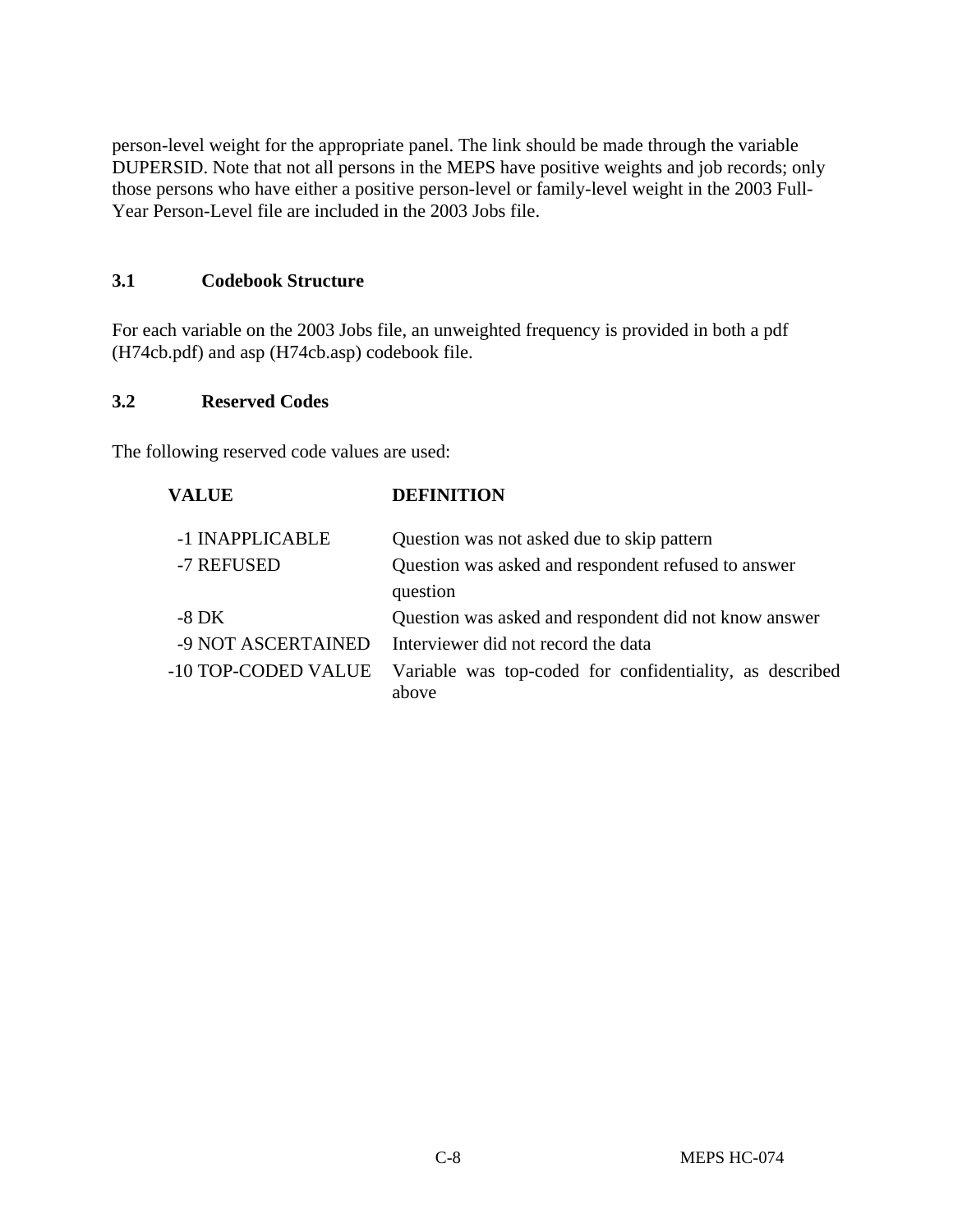person-level weight for the appropriate panel. The link should be made through the variable DUPERSID. Note that not all persons in the MEPS have positive weights and job records; only those persons who have either a positive person-level or family-level weight in the 2003 Full-Year Person-Level file are included in the 2003 Jobs file.

#### **3.1 Codebook Structure**

For each variable on the 2003 Jobs file, an unweighted frequency is provided in both a pdf (H74cb.pdf) and asp (H74cb.asp) codebook file.

#### **3.2 Reserved Codes**

The following reserved code values are used:

| <b>VALUE</b>        | <b>DEFINITION</b>                                                 |
|---------------------|-------------------------------------------------------------------|
| -1 INAPPLICABLE     | Question was not asked due to skip pattern                        |
| -7 REFUSED          | Question was asked and respondent refused to answer               |
|                     | question                                                          |
| $-8\,\mathrm{DK}$   | Question was asked and respondent did not know answer             |
| -9 NOT ASCERTAINED  | Interviewer did not record the data                               |
| -10 TOP-CODED VALUE | Variable was top-coded for confidentiality, as described<br>above |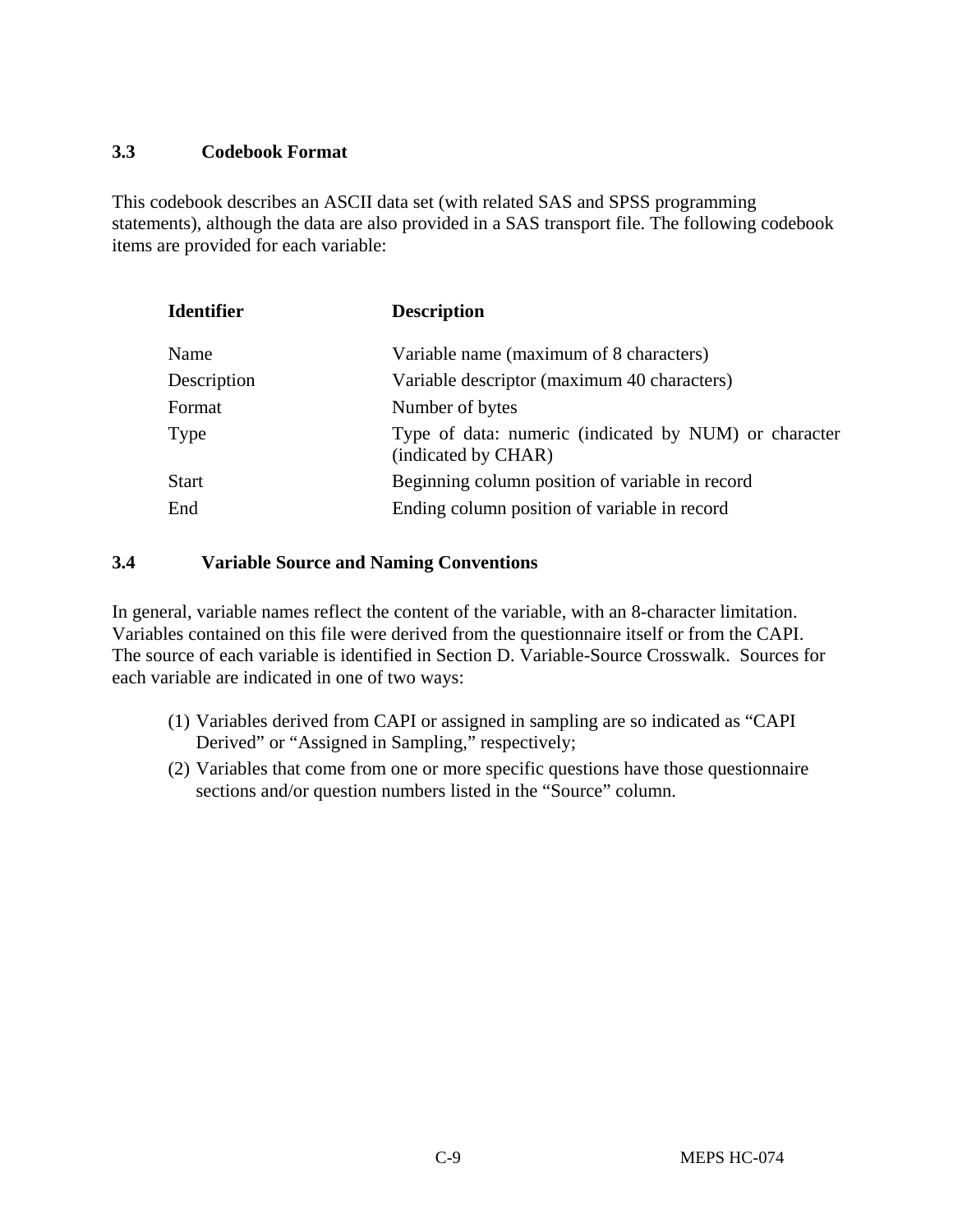#### **3.3 Codebook Format**

This codebook describes an ASCII data set (with related SAS and SPSS programming statements), although the data are also provided in a SAS transport file. The following codebook items are provided for each variable:

| <b>Identifier</b> | <b>Description</b>                                                           |  |  |  |  |
|-------------------|------------------------------------------------------------------------------|--|--|--|--|
| Name              | Variable name (maximum of 8 characters)                                      |  |  |  |  |
| Description       | Variable descriptor (maximum 40 characters)                                  |  |  |  |  |
| Format            | Number of bytes                                                              |  |  |  |  |
| Type              | Type of data: numeric (indicated by NUM) or character<br>(indicated by CHAR) |  |  |  |  |
| <b>Start</b>      | Beginning column position of variable in record                              |  |  |  |  |
| End               | Ending column position of variable in record                                 |  |  |  |  |

#### **3.4 Variable Source and Naming Conventions**

In general, variable names reflect the content of the variable, with an 8-character limitation. Variables contained on this file were derived from the questionnaire itself or from the CAPI. The source of each variable is identified in Section D. Variable-Source Crosswalk. Sources for each variable are indicated in one of two ways:

- (1) Variables derived from CAPI or assigned in sampling are so indicated as "CAPI Derived" or "Assigned in Sampling," respectively;
- (2) Variables that come from one or more specific questions have those questionnaire sections and/or question numbers listed in the "Source" column.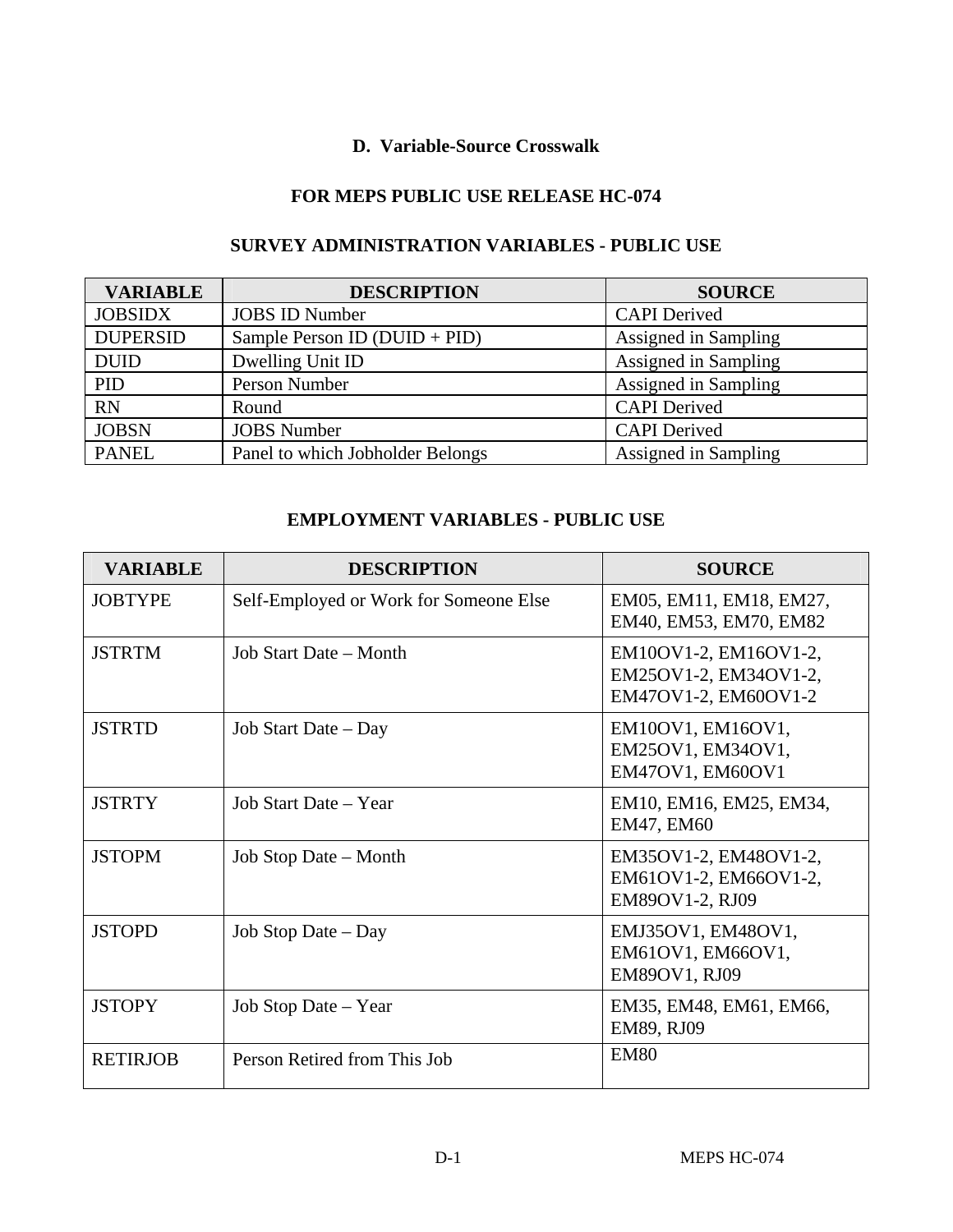#### **D. Variable-Source Crosswalk**

#### **FOR MEPS PUBLIC USE RELEASE HC-074**

# **SURVEY ADMINISTRATION VARIABLES - PUBLIC USE**

| <b>VARIABLE</b>                                  | <b>DESCRIPTION</b>               | <b>SOURCE</b>        |
|--------------------------------------------------|----------------------------------|----------------------|
| <b>JOBSIDX</b>                                   | <b>JOBS ID Number</b>            | <b>CAPI</b> Derived  |
| <b>DUPERSID</b><br>Sample Person ID (DUID + PID) |                                  | Assigned in Sampling |
| <b>DUID</b>                                      | Dwelling Unit ID                 | Assigned in Sampling |
| <b>PID</b>                                       | Person Number                    | Assigned in Sampling |
| <b>RN</b>                                        | Round                            | <b>CAPI</b> Derived  |
| <b>JOBSN</b>                                     | <b>JOBS</b> Number               | <b>CAPI</b> Derived  |
| <b>PANEL</b>                                     | Panel to which Jobholder Belongs | Assigned in Sampling |

#### **EMPLOYMENT VARIABLES - PUBLIC USE**

| <b>VARIABLE</b> | <b>DESCRIPTION</b>                     | <b>SOURCE</b>                                                          |
|-----------------|----------------------------------------|------------------------------------------------------------------------|
| <b>JOBTYPE</b>  | Self-Employed or Work for Someone Else | EM05, EM11, EM18, EM27,<br>EM40, EM53, EM70, EM82                      |
| <b>JSTRTM</b>   | Job Start Date – Month                 | EM10OV1-2, EM16OV1-2,<br>EM25OV1-2, EM34OV1-2,<br>EM47OV1-2, EM60OV1-2 |
| <b>JSTRTD</b>   | Job Start Date – Day                   | EM10OV1, EM16OV1,<br>EM25OV1, EM34OV1,<br>EM47OV1, EM60OV1             |
| <b>JSTRTY</b>   | Job Start Date – Year                  | EM10, EM16, EM25, EM34,<br>EM47, EM60                                  |
| <b>JSTOPM</b>   | Job Stop Date – Month                  | EM35OV1-2, EM48OV1-2,<br>EM61OV1-2, EM66OV1-2,<br>EM89OV1-2, RJ09      |
| <b>JSTOPD</b>   | Job Stop Date – Day                    | EMJ35OV1, EM48OV1,<br>EM61OV1, EM66OV1,<br>EM89OV1, RJ09               |
| <b>JSTOPY</b>   | Job Stop Date – Year                   | EM35, EM48, EM61, EM66,<br>EM89, RJ09                                  |
| <b>RETIRJOB</b> | Person Retired from This Job           | <b>EM80</b>                                                            |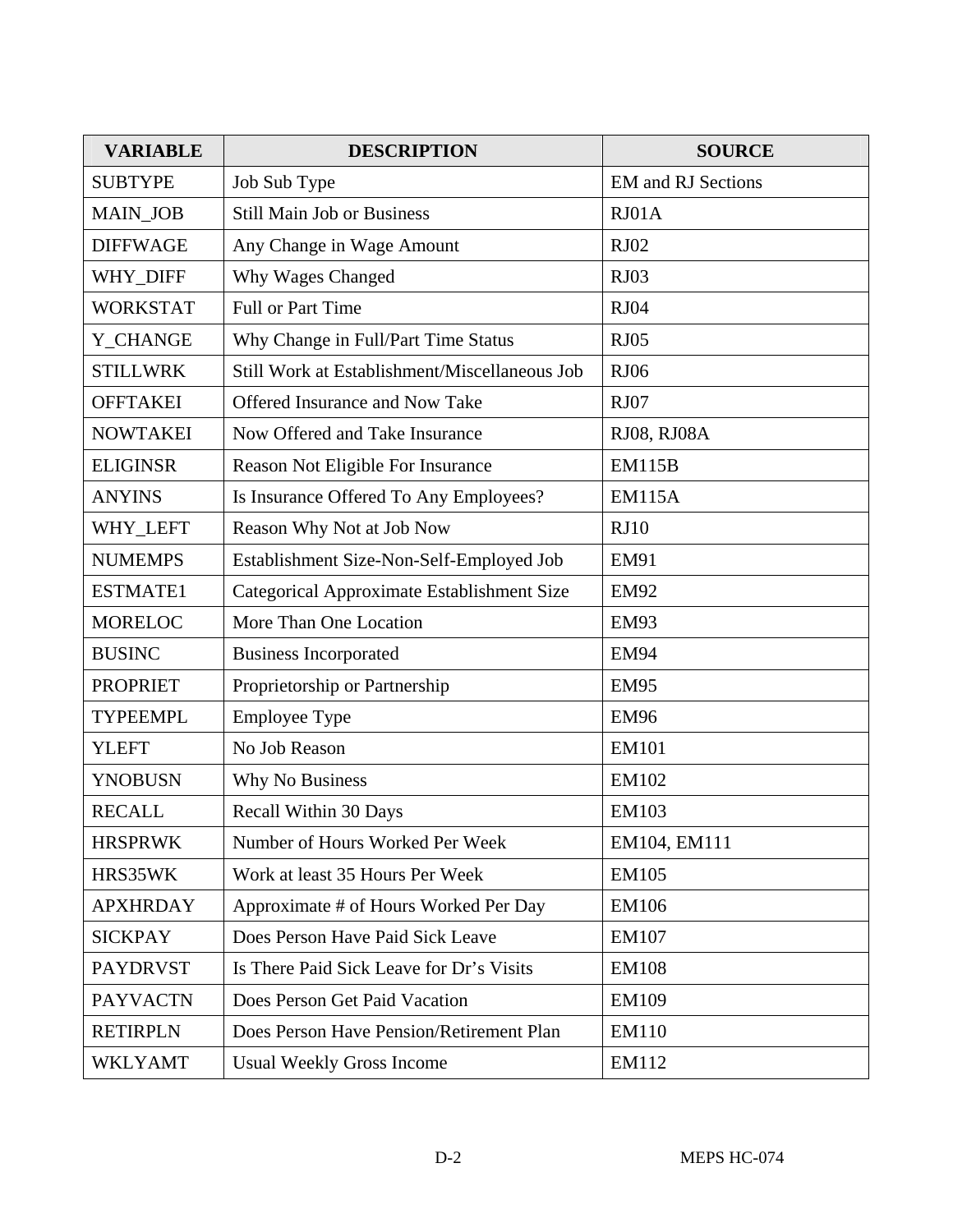| <b>VARIABLE</b> | <b>DESCRIPTION</b>                            | <b>SOURCE</b>             |
|-----------------|-----------------------------------------------|---------------------------|
| <b>SUBTYPE</b>  | Job Sub Type                                  | <b>EM</b> and RJ Sections |
| <b>MAIN_JOB</b> | <b>Still Main Job or Business</b>             | RJ01A                     |
| <b>DIFFWAGE</b> | Any Change in Wage Amount                     | RJ02                      |
| WHY_DIFF        | Why Wages Changed                             | RJ03                      |
| <b>WORKSTAT</b> | <b>Full or Part Time</b>                      | <b>RJ04</b>               |
| Y_CHANGE        | Why Change in Full/Part Time Status           | <b>RJ05</b>               |
| <b>STILLWRK</b> | Still Work at Establishment/Miscellaneous Job | <b>RJ06</b>               |
| <b>OFFTAKEI</b> | Offered Insurance and Now Take                | RJ07                      |
| <b>NOWTAKEI</b> | Now Offered and Take Insurance                | RJ08, RJ08A               |
| <b>ELIGINSR</b> | Reason Not Eligible For Insurance             | <b>EM115B</b>             |
| <b>ANYINS</b>   | Is Insurance Offered To Any Employees?        | <b>EM115A</b>             |
| WHY_LEFT        | Reason Why Not at Job Now                     | RJ10                      |
| <b>NUMEMPS</b>  | Establishment Size-Non-Self-Employed Job      | <b>EM91</b>               |
| <b>ESTMATE1</b> | Categorical Approximate Establishment Size    | <b>EM92</b>               |
| <b>MORELOC</b>  | More Than One Location                        | <b>EM93</b>               |
| <b>BUSINC</b>   | <b>Business Incorporated</b>                  | <b>EM94</b>               |
| <b>PROPRIET</b> | Proprietorship or Partnership                 | <b>EM95</b>               |
| <b>TYPEEMPL</b> | <b>Employee Type</b>                          | <b>EM96</b>               |
| <b>YLEFT</b>    | No Job Reason                                 | <b>EM101</b>              |
| <b>YNOBUSN</b>  | Why No Business                               | EM102                     |
| <b>RECALL</b>   | Recall Within 30 Days                         | <b>EM103</b>              |
| <b>HRSPRWK</b>  | Number of Hours Worked Per Week               | EM104, EM111              |
| HRS35WK         | Work at least 35 Hours Per Week               | <b>EM105</b>              |
| <b>APXHRDAY</b> | Approximate # of Hours Worked Per Day         | <b>EM106</b>              |
| <b>SICKPAY</b>  | Does Person Have Paid Sick Leave              | <b>EM107</b>              |
| <b>PAYDRVST</b> | Is There Paid Sick Leave for Dr's Visits      | <b>EM108</b>              |
| <b>PAYVACTN</b> | Does Person Get Paid Vacation                 | <b>EM109</b>              |
| <b>RETIRPLN</b> | Does Person Have Pension/Retirement Plan      | <b>EM110</b>              |
| <b>WKLYAMT</b>  | <b>Usual Weekly Gross Income</b>              | EM112                     |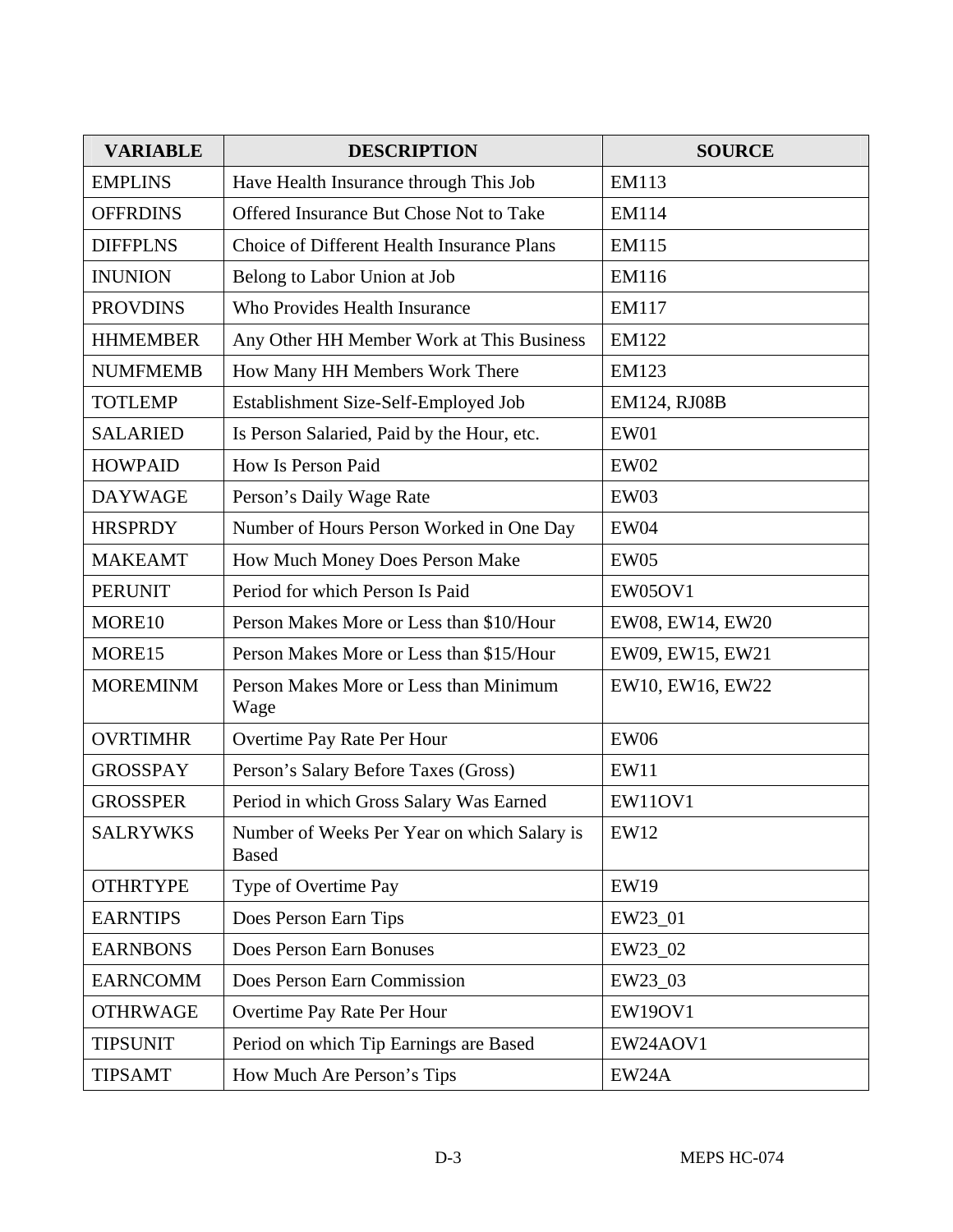| <b>VARIABLE</b> | <b>DESCRIPTION</b>                                          | <b>SOURCE</b>    |
|-----------------|-------------------------------------------------------------|------------------|
| <b>EMPLINS</b>  | Have Health Insurance through This Job                      | EM113            |
| <b>OFFRDINS</b> | Offered Insurance But Chose Not to Take                     | <b>EM114</b>     |
| <b>DIFFPLNS</b> | Choice of Different Health Insurance Plans                  | <b>EM115</b>     |
| <b>INUNION</b>  | Belong to Labor Union at Job                                | EM116            |
| <b>PROVDINS</b> | Who Provides Health Insurance                               | <b>EM117</b>     |
| <b>HHMEMBER</b> | Any Other HH Member Work at This Business                   | EM122            |
| <b>NUMFMEMB</b> | How Many HH Members Work There                              | <b>EM123</b>     |
| <b>TOTLEMP</b>  | Establishment Size-Self-Employed Job                        | EM124, RJ08B     |
| <b>SALARIED</b> | Is Person Salaried, Paid by the Hour, etc.                  | EW01             |
| <b>HOWPAID</b>  | How Is Person Paid                                          | <b>EW02</b>      |
| <b>DAYWAGE</b>  | Person's Daily Wage Rate                                    | EW03             |
| <b>HRSPRDY</b>  | Number of Hours Person Worked in One Day                    | <b>EW04</b>      |
| <b>MAKEAMT</b>  | How Much Money Does Person Make                             | <b>EW05</b>      |
| <b>PERUNIT</b>  | Period for which Person Is Paid                             | <b>EW05OV1</b>   |
| MORE10          | Person Makes More or Less than \$10/Hour                    | EW08, EW14, EW20 |
| MORE15          | Person Makes More or Less than \$15/Hour                    | EW09, EW15, EW21 |
| <b>MOREMINM</b> | Person Makes More or Less than Minimum<br>Wage              | EW10, EW16, EW22 |
| <b>OVRTIMHR</b> | Overtime Pay Rate Per Hour                                  | <b>EW06</b>      |
| <b>GROSSPAY</b> | Person's Salary Before Taxes (Gross)                        | EW11             |
| <b>GROSSPER</b> | Period in which Gross Salary Was Earned                     | <b>EW11OV1</b>   |
| <b>SALRYWKS</b> | Number of Weeks Per Year on which Salary is<br><b>Based</b> | <b>EW12</b>      |
| <b>OTHRTYPE</b> | Type of Overtime Pay                                        | <b>EW19</b>      |
| <b>EARNTIPS</b> | Does Person Earn Tips                                       | EW23_01          |
| <b>EARNBONS</b> | Does Person Earn Bonuses                                    | EW23_02          |
| <b>EARNCOMM</b> | Does Person Earn Commission                                 | EW23_03          |
| <b>OTHRWAGE</b> | Overtime Pay Rate Per Hour                                  | <b>EW19OV1</b>   |
| <b>TIPSUNIT</b> | Period on which Tip Earnings are Based                      | EW24AOV1         |
| <b>TIPSAMT</b>  | How Much Are Person's Tips                                  | EW24A            |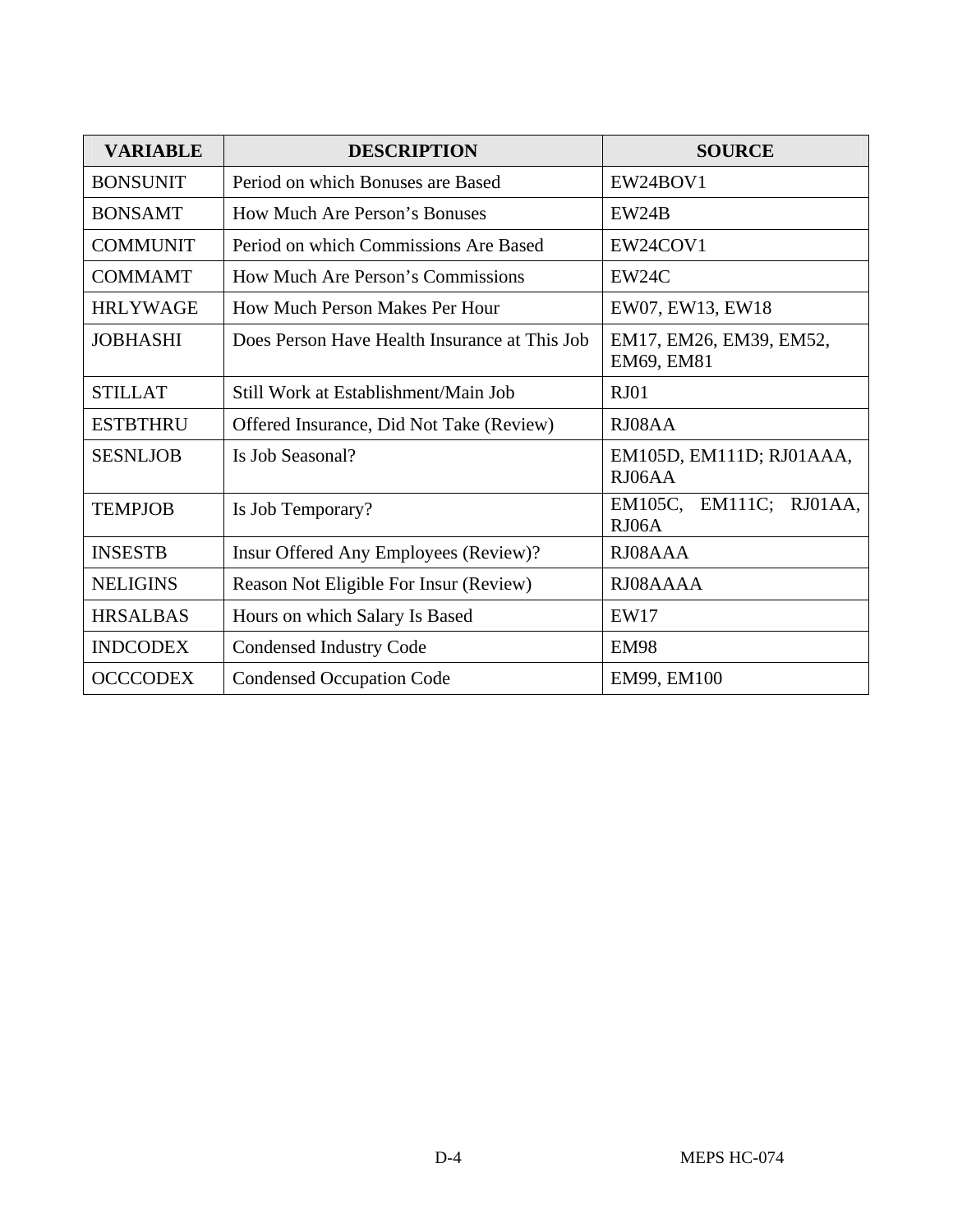| <b>VARIABLE</b> | <b>DESCRIPTION</b>                            | <b>SOURCE</b>                         |  |  |  |
|-----------------|-----------------------------------------------|---------------------------------------|--|--|--|
| <b>BONSUNIT</b> | Period on which Bonuses are Based             | EW24BOV1                              |  |  |  |
| <b>BONSAMT</b>  | How Much Are Person's Bonuses                 | EW24B                                 |  |  |  |
| <b>COMMUNIT</b> | Period on which Commissions Are Based         | EW24COV1                              |  |  |  |
| <b>COMMAMT</b>  | How Much Are Person's Commissions             | EW24C                                 |  |  |  |
| <b>HRLYWAGE</b> | How Much Person Makes Per Hour                | EW07, EW13, EW18                      |  |  |  |
| <b>JOBHASHI</b> | Does Person Have Health Insurance at This Job | EM17, EM26, EM39, EM52,<br>EM69, EM81 |  |  |  |
| <b>STILLAT</b>  | Still Work at Establishment/Main Job          | RJ01                                  |  |  |  |
| <b>ESTBTHRU</b> | Offered Insurance, Did Not Take (Review)      | RJ08AA                                |  |  |  |
| <b>SESNLJOB</b> | Is Job Seasonal?                              | EM105D, EM111D; RJ01AAA,<br>RJ06AA    |  |  |  |
| <b>TEMPJOB</b>  | Is Job Temporary?                             | EM105C, EM111C; RJ01AA,<br>RJO6A      |  |  |  |
| <b>INSESTB</b>  | Insur Offered Any Employees (Review)?         | RJ08AAA                               |  |  |  |
| <b>NELIGINS</b> | Reason Not Eligible For Insur (Review)        | RJ08AAAA                              |  |  |  |
| <b>HRSALBAS</b> | Hours on which Salary Is Based                | EW17                                  |  |  |  |
| <b>INDCODEX</b> | <b>Condensed Industry Code</b>                | <b>EM98</b>                           |  |  |  |
| <b>OCCCODEX</b> | <b>Condensed Occupation Code</b>              | EM99, EM100                           |  |  |  |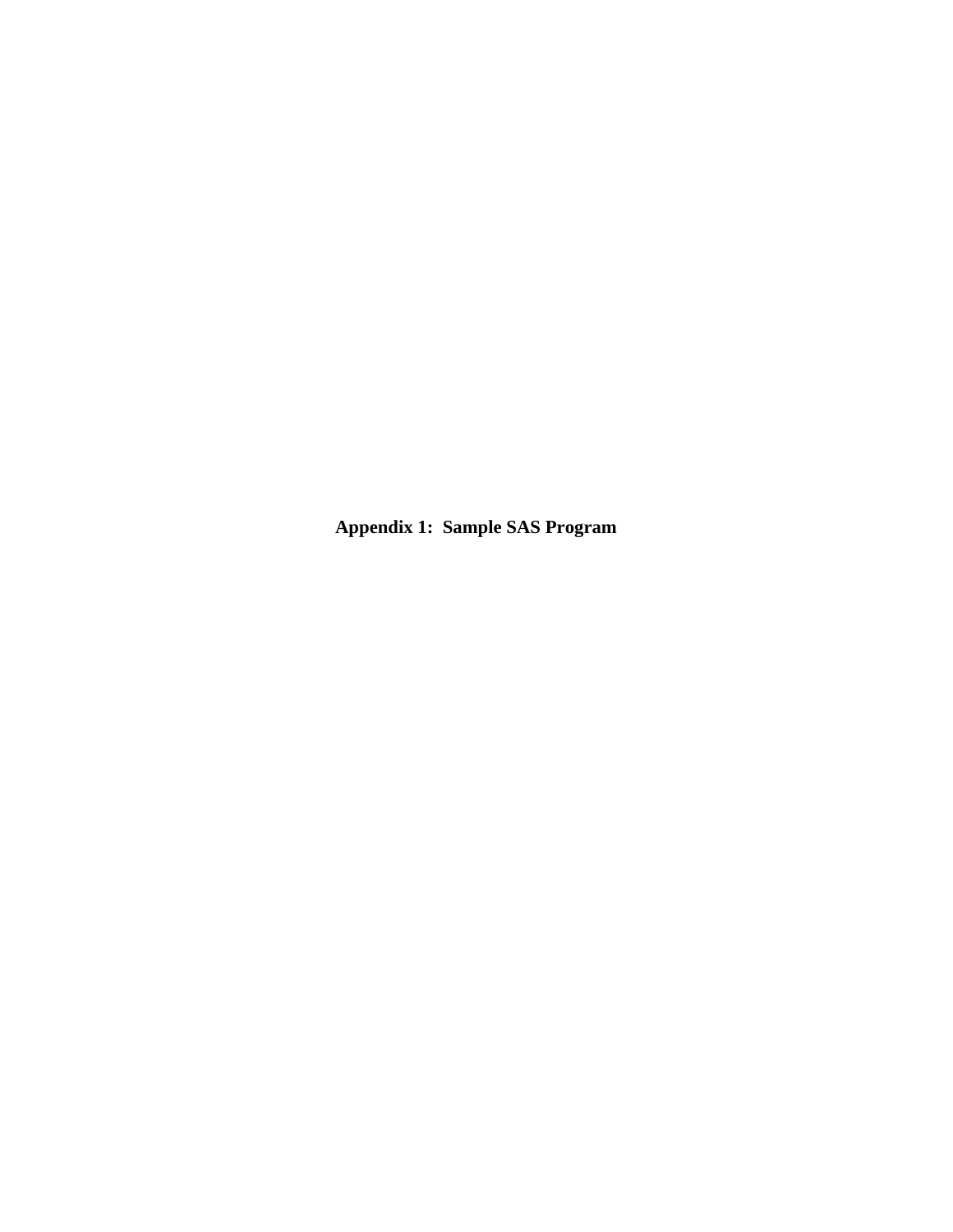**Appendix 1: Sample SAS Program**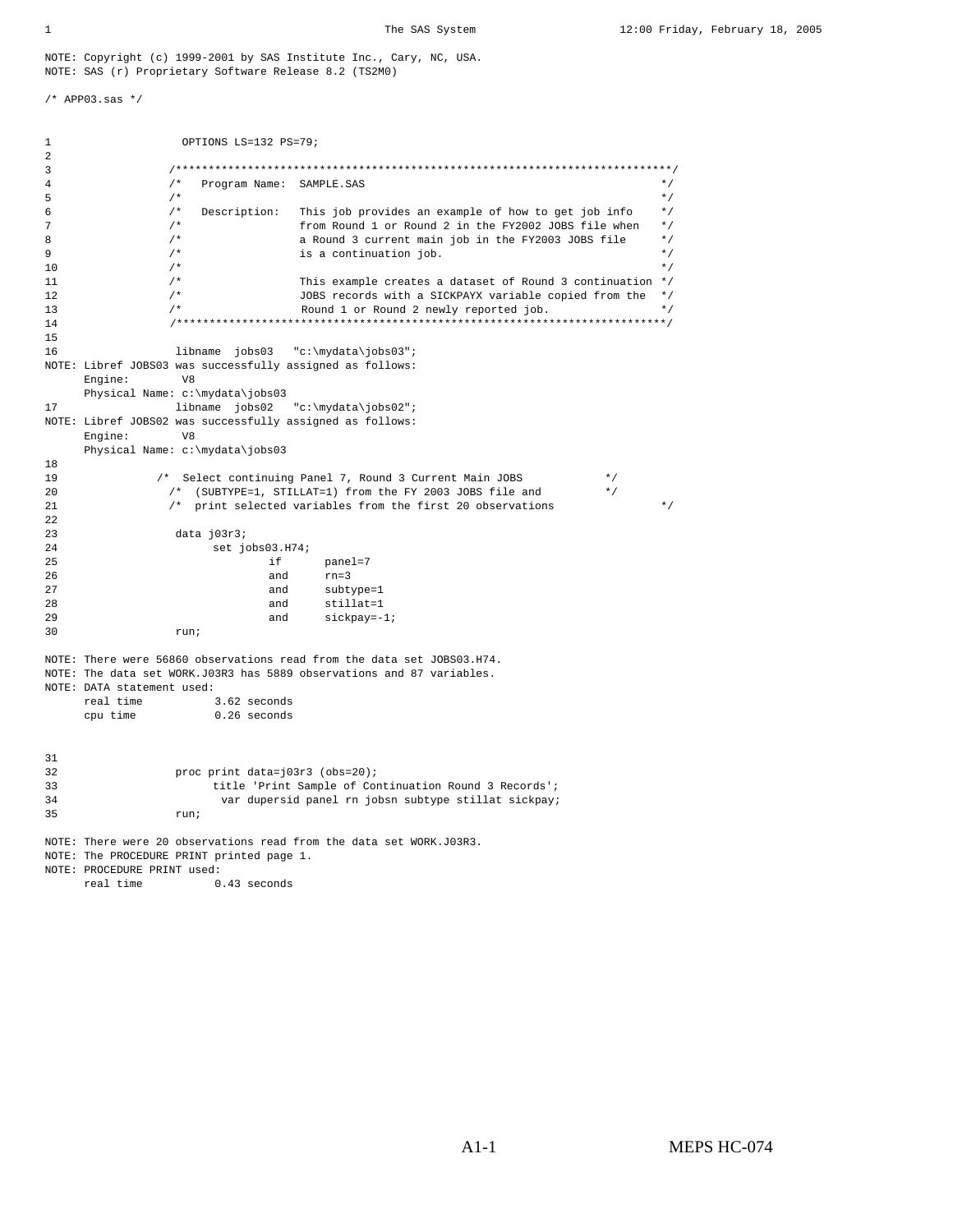NOTE: Copyright (c) 1999-2001 by SAS Institute Inc., Cary, NC, USA. NOTE: SAS (r) Proprietary Software Release 8.2 (TS2M0)

/\* APP03.sas \*/

```
1 OPTIONS LS=132 PS=79;
2 
3 /****************************************************************************/ 
4 /* Program Name: SAMPLE.SAS */ 
5 \hspace{1cm} /* \hspace{1cm} \hspace{1cm} \hspace{1cm} \hspace{1cm} \hspace{1cm} \hspace{1cm} \hspace{1cm} \hspace{1cm} \hspace{1cm} \hspace{1cm} \hspace{1cm} \hspace{1cm} \hspace{1cm} \hspace{1cm} \hspace{1cm} \hspace{1cm} \hspace{1cm} \hspace{1cm} \hspace{1cm} \hspace{1cm} \hspace{16 /* Description: This job provides an example of how to get job info */ 
7 \frac{7}{18} /* from Round 1 or Round 2 in the FY2002 JOBS file when \frac{7}{18} a Round 3 current main job in the FY2003 JOBS file \frac{7}{18}8 /* a Round 3 current main job in the FY2003 JOBS file */<br>9 /* is a continuation job. \uparrow */
                   9 /* is a continuation job. */ 
10 \frac{1}{\sqrt{2}} \frac{1}{\sqrt{2}} \frac{1}{\sqrt{2}} \frac{1}{\sqrt{2}} \frac{1}{\sqrt{2}} \frac{1}{\sqrt{2}} \frac{1}{\sqrt{2}} \frac{1}{\sqrt{2}} \frac{1}{\sqrt{2}} \frac{1}{\sqrt{2}} \frac{1}{\sqrt{2}} \frac{1}{\sqrt{2}} \frac{1}{\sqrt{2}} \frac{1}{\sqrt{2}} \frac{1}{\sqrt{2}} \frac{1}{\sqrt{2}} \frac{1}{\sqrt{211 \frac{1}{4} /* This example creates a dataset of Round 3 continuation */<br>12 \frac{1}{4} \frac{1}{4} JOBS records with a SICKPAYX variable copied from the */
12 \frac{1}{x} \frac{1}{x} JOBS records with a SICKPAYX variable copied from the \frac{x}{x} 13
13 /* Round 1 or Round 2 newly reported job. */ 
                   14 /***************************************************************************/ 
15 
16 libname jobs03 "c:\mydata\jobs03";
NOTE: Libref JOBS03 was successfully assigned as follows: 
       Engine: V8 
 Physical Name: c:\mydata\jobs03 
                libname jobs02 "c:\mydata\jobs02";
NOTE: Libref JOBS02 was successfully assigned as follows: 
      Engine:
       Physical Name: c:\mydata\jobs03 
18 
19 /* Select continuing Panel 7, Round 3 Current Main JOBS */ 
20 /* (SUBTYPE=1, STILLAT=1) from the FY 2003 JOBS file and */ 
21 /* print selected variables from the first 20 observations */ 
22 
23 data j03r3; 
24 set jobs03.H74;<br>25 if
                                          panel=7
26 and rn=3 
27 and subtype=1 
28 and stillat=1 
29 and sickpay=-1;<br>30 run;
                    run;
NOTE: There were 56860 observations read from the data set JOBS03.H74. 
NOTE: The data set WORK.J03R3 has 5889 observations and 87 variables. 
NOTE: DATA statement used:<br>real time 3.62 seconds
     real time
       cpu time 0.26 seconds 
31 
32 proc print data=j03r3 (obs=20); 
33 title 'Print Sample of Continuation Round 3 Records'; 
                           var dupersid panel rn jobsn subtype stillat sickpay;
35 run; 
NOTE: There were 20 observations read from the data set WORK.J03R3. 
NOTE: The PROCEDURE PRINT printed page 1. 
NOTE: PROCEDURE PRINT used: 
      real time 0.43 seconds
```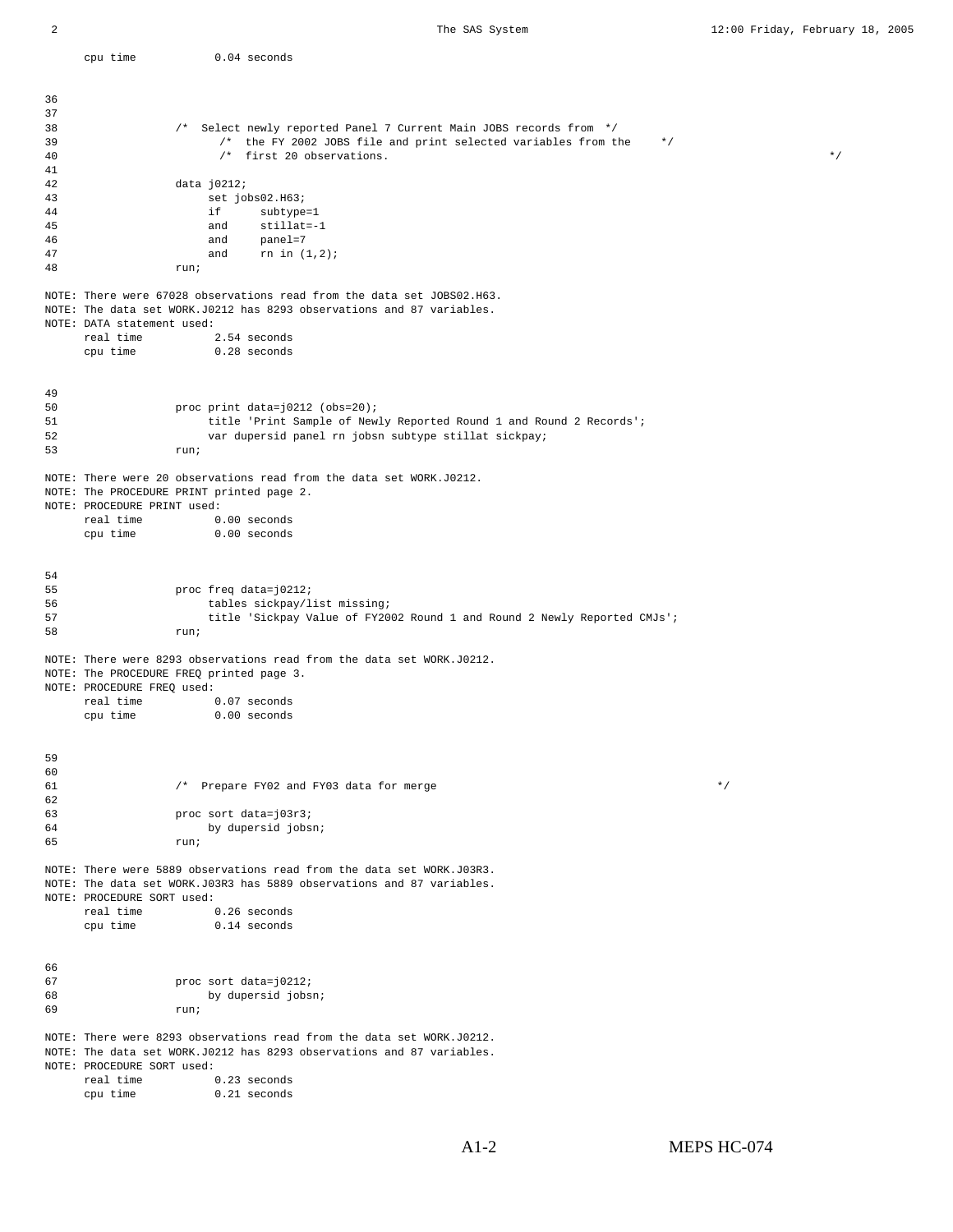| 36       |                                                                                                                                                                               |
|----------|-------------------------------------------------------------------------------------------------------------------------------------------------------------------------------|
| 37       |                                                                                                                                                                               |
| 38<br>39 | /* Select newly reported Panel 7 Current Main JOBS records from */<br>/* the FY 2002 JOBS file and print selected variables from the<br>$*$ /                                 |
| 40       | /* first 20 observations.<br>$\star$ /                                                                                                                                        |
| 41       |                                                                                                                                                                               |
| 42<br>43 | data j0212;<br>set jobs02.H63;                                                                                                                                                |
| 44       | if<br>subtype=1                                                                                                                                                               |
| 45       | $stillat=-1$<br>and                                                                                                                                                           |
| 46<br>47 | panel=7<br>and<br>rn in $(1,2)$ ;                                                                                                                                             |
| 48       | and<br>run;                                                                                                                                                                   |
|          | NOTE: There were 67028 observations read from the data set JOBS02.H63.<br>NOTE: The data set WORK.J0212 has 8293 observations and 87 variables.<br>NOTE: DATA statement used: |
|          | real time<br>2.54 seconds                                                                                                                                                     |
|          | $0.28$ seconds<br>cpu time                                                                                                                                                    |
|          |                                                                                                                                                                               |
| 49       |                                                                                                                                                                               |
| 50       | proc print data=j0212 (obs=20);                                                                                                                                               |
| 51       | title 'Print Sample of Newly Reported Round 1 and Round 2 Records';                                                                                                           |
| 52<br>53 | var dupersid panel rn jobsn subtype stillat sickpay;<br>run;                                                                                                                  |
|          | NOTE: There were 20 observations read from the data set WORK.J0212.                                                                                                           |
|          | NOTE: The PROCEDURE PRINT printed page 2.                                                                                                                                     |
|          | NOTE: PROCEDURE PRINT used:<br>real time<br>$0.00$ seconds                                                                                                                    |
|          | $0.00$ seconds<br>cpu time                                                                                                                                                    |
|          |                                                                                                                                                                               |
|          |                                                                                                                                                                               |
| 54<br>55 | proc freq data=j0212;                                                                                                                                                         |
| 56       | tables sickpay/list missing;                                                                                                                                                  |
| 57       | title 'Sickpay Value of FY2002 Round 1 and Round 2 Newly Reported CMJs';                                                                                                      |
| 58       | run;                                                                                                                                                                          |
|          | NOTE: There were 8293 observations read from the data set WORK.J0212.<br>NOTE: The PROCEDURE FREQ printed page 3.                                                             |
|          | NOTE: PROCEDURE FREQ used:                                                                                                                                                    |
|          | 0.07 seconds<br>real time                                                                                                                                                     |
|          | $0.00$ seconds<br>cpu time                                                                                                                                                    |
|          |                                                                                                                                                                               |
| 59       |                                                                                                                                                                               |
| 60<br>61 | /* Prepare FY02 and FY03 data for merge<br>$\star$ /                                                                                                                          |
| 62       |                                                                                                                                                                               |
| 63       | proc sort data=j03r3;                                                                                                                                                         |
| 64<br>65 | by dupersid jobsn;<br>run;                                                                                                                                                    |
|          | NOTE: There were 5889 observations read from the data set WORK.J03R3.                                                                                                         |
|          | NOTE: The data set WORK.J03R3 has 5889 observations and 87 variables.<br>NOTE: PROCEDURE SORT used:                                                                           |
|          | real time<br>0.26 seconds                                                                                                                                                     |
|          | $0.14$ seconds<br>cpu time                                                                                                                                                    |
|          |                                                                                                                                                                               |
| 66       |                                                                                                                                                                               |
| 67       | proc sort data=j0212;                                                                                                                                                         |
| 68       | by dupersid jobsn;                                                                                                                                                            |
| 69       | run;                                                                                                                                                                          |
|          | NOTE: There were 8293 observations read from the data set WORK.J0212.                                                                                                         |
|          | NOTE: The data set WORK.J0212 has 8293 observations and 87 variables.                                                                                                         |
|          | NOTE: PROCEDURE SORT used:<br>$0.23$ seconds<br>real time                                                                                                                     |
|          | 0.21 seconds<br>cpu time                                                                                                                                                      |
|          |                                                                                                                                                                               |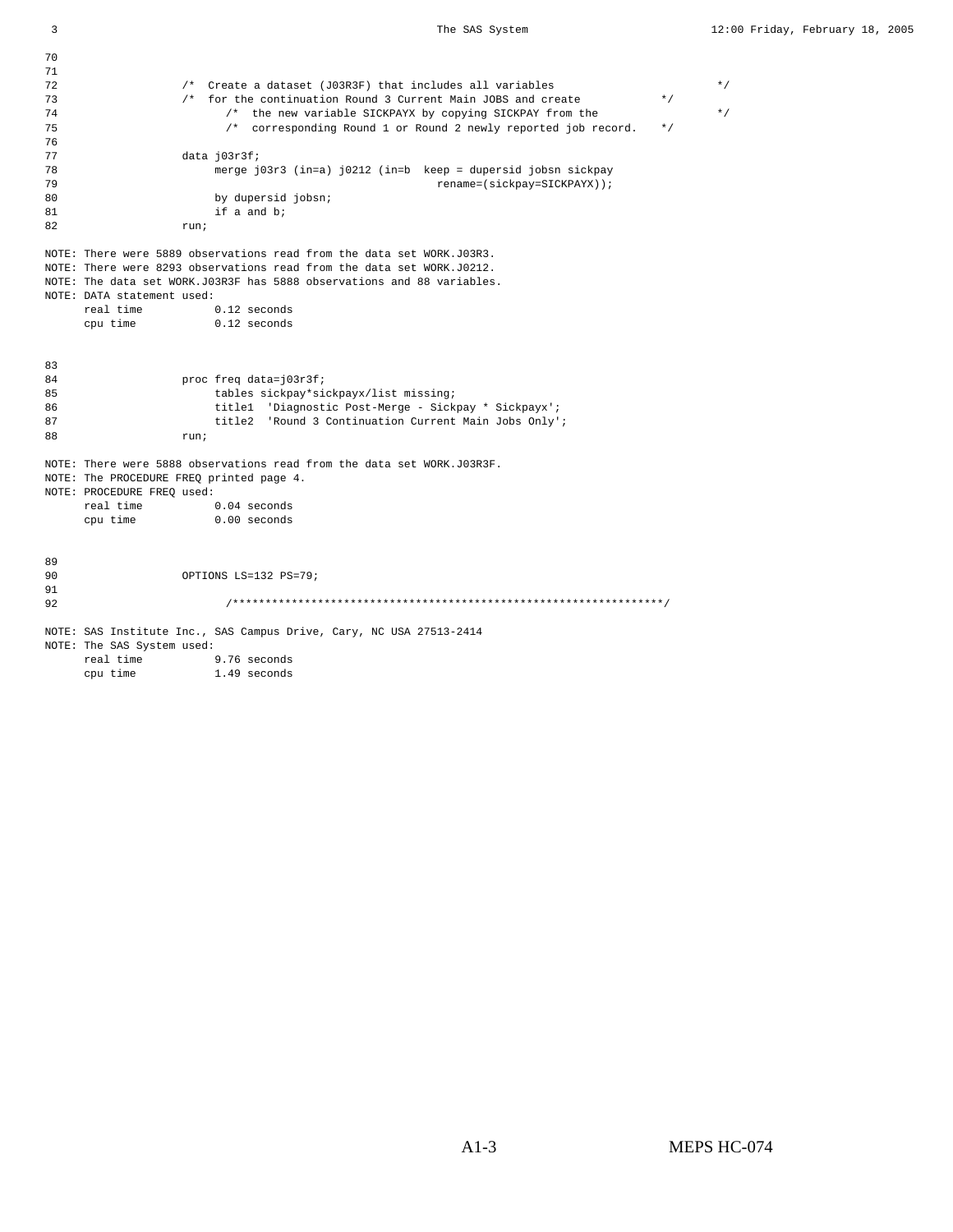71 72 /\* Create a dataset (J03R3F) that includes all variables  $\star/$   $\star/$  73  $\star/$  for the continuation Round 3 Current Main JOBS and create  $\star/$  $/*$  for the continuation Round 3 Current Main JOBS and create 74 /\* the new variable SICKPAYX by copying SICKPAY from the  $\star/$ <br>75 /\* corresponding Round 1 or Round 2 newly reported job record.  $\star/$  $\prime^*$  corresponding Round 1 or Round 2 newly reported job record. 76 77 data j03r3f;<br>78 merge j 78 merge j03r3 (in=a) j0212 (in=b keep = dupersid jobsn sickpay 79 rename=(sickpay=SICKPAYX));<br>80 by dupersid jobsn; by dupersid jobsn; 81 if a and b; 82 run; NOTE: There were 5889 observations read from the data set WORK.J03R3. NOTE: There were 8293 observations read from the data set WORK.J0212. NOTE: The data set WORK.J03R3F has 5888 observations and 88 variables. NOTE: DATA statement used: real time  $0.12$  seconds<br>cpu time  $0.12$  seconds  $0.12$  seconds 83 84 proc freq data=j03r3f;<br>85 bables sickpay\*si 85 tables sickpay\*sickpayx/list missing;<br>86 title1 'Diagnostic Post-Merge - Sick title1 'Diagnostic Post-Merge - Sickpay \* Sickpayx'; 87 title2 'Round 3 Continuation Current Main Jobs Only';<br>88 mun: 88 run; NOTE: There were 5888 observations read from the data set WORK.J03R3F. NOTE: The PROCEDURE FREQ printed page 4. NOTE: PROCEDURE FREQ used:<br>real time 0.04 seconds real time cpu time 0.00 seconds 89 OPTIONS LS=132 PS=79; 91 92 /\*\*\*\*\*\*\*\*\*\*\*\*\*\*\*\*\*\*\*\*\*\*\*\*\*\*\*\*\*\*\*\*\*\*\*\*\*\*\*\*\*\*\*\*\*\*\*\*\*\*\*\*\*\*\*\*\*\*\*\*\*\*\*\*\*\*/ NOTE: SAS Institute Inc., SAS Campus Drive, Cary, NC USA 27513-2414 NOTE: The SAS System used:

real time 9.76 seconds<br>cpu time 1.49 seconds 1.49 seconds

70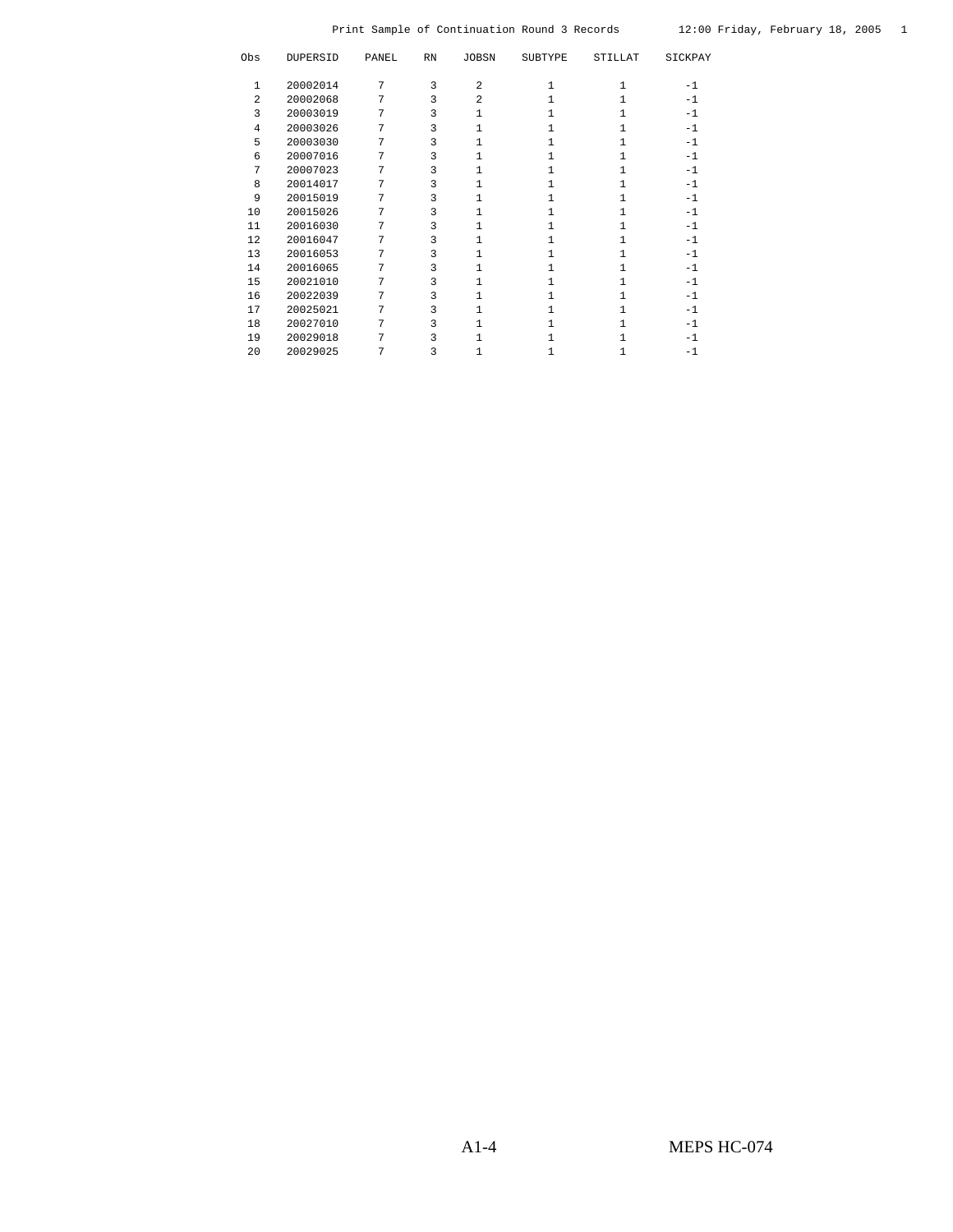| Obs            | DUPERSID | PANEL          | $\mathbb{R}\mathbb{N}$ | <b>JOBSN</b> | <b>SUBTYPE</b> | <b>STILLAT</b> | SICKPAY |
|----------------|----------|----------------|------------------------|--------------|----------------|----------------|---------|
|                |          |                |                        |              |                |                |         |
| 1              | 20002014 | 7              | 3                      | 2            | 1              |                | $-1$    |
| $\mathfrak{D}$ | 20002068 | 7              | 3                      | 2            |                |                | $-1$    |
| 3              | 20003019 | 7              | 3                      |              |                |                | $-1$    |
| 4              | 20003026 | 7              | 3                      |              |                |                | $-1$    |
| 5              | 20003030 | 7              | 3                      |              |                |                | $-1$    |
| 6              | 20007016 | 7              | 3                      |              |                |                | $-1$    |
| 7              | 20007023 | $\overline{7}$ | 3                      | $\mathbf{1}$ |                |                | $-1$    |
| 8              | 20014017 | 7              | 3                      |              |                |                | $-1$    |
| 9              | 20015019 | 7              | 3                      | 1            |                |                | $-1$    |
| 10             | 20015026 | 7              | 3                      |              |                |                | $-1$    |
| 11             | 20016030 | 7              | 3                      | 1            |                |                | $-1$    |
| 12             | 20016047 | 7              | 3                      |              |                |                | $-1$    |
| 13             | 20016053 | 7              | 3                      | 1            |                |                | $-1$    |
| 14             | 20016065 | 7              | 3                      | 1            |                |                | $-1$    |
| 15             | 20021010 | 7              | 3                      |              |                |                | $-1$    |
| 16             | 20022039 | 7              | 3                      |              |                |                | $-1$    |
| 17             | 20025021 | 7              | 3                      | 1            |                |                | $-1$    |
| 18             | 20027010 | 7              | 3                      |              |                |                | $-1$    |
| 19             | 20029018 | 7              | 3                      |              |                |                | $-1$    |
| 20             | 20029025 | 7              | 3                      |              |                |                | $-1$    |
|                |          |                |                        |              |                |                |         |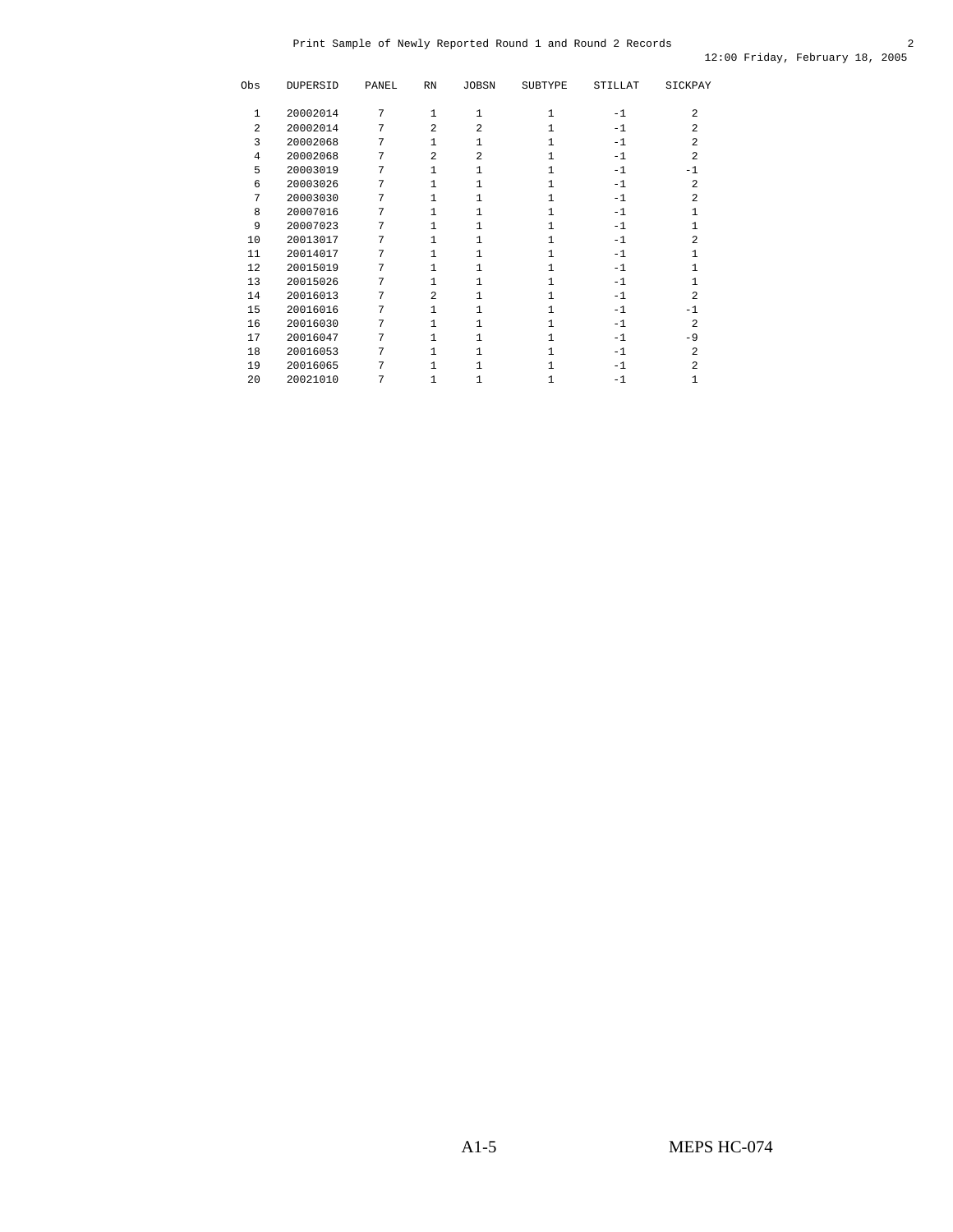| 20002014<br>7<br>$-1$<br>1<br>1<br>1<br>1<br>$\overline{a}$<br>2<br>20002014<br>7<br>2<br>$\overline{a}$<br>$-1$<br>2<br>3<br>20002068<br>7<br>1<br>1<br>$-1$<br>$\overline{a}$<br>$\overline{a}$<br>7<br>$\overline{a}$<br>20002068<br>$-1$<br>4<br>1<br>5<br>20003019<br>7<br>$-1$<br>1<br>$-1$<br>20003026<br>7<br>$\overline{a}$<br>6<br>$-1$<br>1<br>7<br>20003030<br>7<br>$\overline{a}$<br>1<br>$-1$<br>8<br>20007016<br>7<br>$\mathbf{1}$<br>$-1$<br>1<br>1<br>9<br>20007023<br>7<br>$\mathbf{1}$<br>$-1$<br>1<br>$\overline{7}$<br>10<br>20013017<br>$\mathbf{1}$<br>$-1$<br>2<br>1<br>20014017<br>7<br>11<br>1<br>1<br>$-1$<br>1<br>1<br>7<br>12<br>20015019<br>$\mathbf{1}$<br>$-1$<br>1<br>7<br>13<br>20015026<br>$\mathbf{1}$<br>$-1$<br>$\overline{a}$<br>20016013<br>7<br>2<br>14<br>1<br>$-1$<br>20016016<br>7<br>15<br>$-1$<br>1<br>-1<br>16<br>20016030<br>7<br>2<br>1<br>$-1$<br>1<br>7<br>17<br>20016047<br>1<br>$-1$<br>$-9$<br>1<br>18<br>20016053<br>7<br>2<br>1<br>$\mathbf{1}$<br>$-1$ | Obs | DUPERSID | PANEL | $\mathbb{R}\mathbb{N}$ | <b>JOBSN</b> | <b>SUBTYPE</b> | STILLAT | SICKPAY        |
|-----------------------------------------------------------------------------------------------------------------------------------------------------------------------------------------------------------------------------------------------------------------------------------------------------------------------------------------------------------------------------------------------------------------------------------------------------------------------------------------------------------------------------------------------------------------------------------------------------------------------------------------------------------------------------------------------------------------------------------------------------------------------------------------------------------------------------------------------------------------------------------------------------------------------------------------------------------------------------------------------------------------|-----|----------|-------|------------------------|--------------|----------------|---------|----------------|
|                                                                                                                                                                                                                                                                                                                                                                                                                                                                                                                                                                                                                                                                                                                                                                                                                                                                                                                                                                                                                 |     |          |       |                        |              |                |         |                |
|                                                                                                                                                                                                                                                                                                                                                                                                                                                                                                                                                                                                                                                                                                                                                                                                                                                                                                                                                                                                                 |     |          |       |                        |              |                |         | $\overline{a}$ |
|                                                                                                                                                                                                                                                                                                                                                                                                                                                                                                                                                                                                                                                                                                                                                                                                                                                                                                                                                                                                                 |     |          |       |                        |              |                |         |                |
|                                                                                                                                                                                                                                                                                                                                                                                                                                                                                                                                                                                                                                                                                                                                                                                                                                                                                                                                                                                                                 |     |          |       |                        |              |                |         |                |
|                                                                                                                                                                                                                                                                                                                                                                                                                                                                                                                                                                                                                                                                                                                                                                                                                                                                                                                                                                                                                 |     |          |       |                        |              |                |         |                |
|                                                                                                                                                                                                                                                                                                                                                                                                                                                                                                                                                                                                                                                                                                                                                                                                                                                                                                                                                                                                                 |     |          |       |                        |              |                |         |                |
|                                                                                                                                                                                                                                                                                                                                                                                                                                                                                                                                                                                                                                                                                                                                                                                                                                                                                                                                                                                                                 |     |          |       |                        |              |                |         |                |
|                                                                                                                                                                                                                                                                                                                                                                                                                                                                                                                                                                                                                                                                                                                                                                                                                                                                                                                                                                                                                 |     |          |       |                        |              |                |         |                |
|                                                                                                                                                                                                                                                                                                                                                                                                                                                                                                                                                                                                                                                                                                                                                                                                                                                                                                                                                                                                                 |     |          |       |                        |              |                |         |                |
|                                                                                                                                                                                                                                                                                                                                                                                                                                                                                                                                                                                                                                                                                                                                                                                                                                                                                                                                                                                                                 |     |          |       |                        |              |                |         |                |
|                                                                                                                                                                                                                                                                                                                                                                                                                                                                                                                                                                                                                                                                                                                                                                                                                                                                                                                                                                                                                 |     |          |       |                        |              |                |         |                |
|                                                                                                                                                                                                                                                                                                                                                                                                                                                                                                                                                                                                                                                                                                                                                                                                                                                                                                                                                                                                                 |     |          |       |                        |              |                |         |                |
|                                                                                                                                                                                                                                                                                                                                                                                                                                                                                                                                                                                                                                                                                                                                                                                                                                                                                                                                                                                                                 |     |          |       |                        |              |                |         |                |
|                                                                                                                                                                                                                                                                                                                                                                                                                                                                                                                                                                                                                                                                                                                                                                                                                                                                                                                                                                                                                 |     |          |       |                        |              |                |         |                |
|                                                                                                                                                                                                                                                                                                                                                                                                                                                                                                                                                                                                                                                                                                                                                                                                                                                                                                                                                                                                                 |     |          |       |                        |              |                |         |                |
|                                                                                                                                                                                                                                                                                                                                                                                                                                                                                                                                                                                                                                                                                                                                                                                                                                                                                                                                                                                                                 |     |          |       |                        |              |                |         |                |
|                                                                                                                                                                                                                                                                                                                                                                                                                                                                                                                                                                                                                                                                                                                                                                                                                                                                                                                                                                                                                 |     |          |       |                        |              |                |         |                |
|                                                                                                                                                                                                                                                                                                                                                                                                                                                                                                                                                                                                                                                                                                                                                                                                                                                                                                                                                                                                                 |     |          |       |                        |              |                |         |                |
|                                                                                                                                                                                                                                                                                                                                                                                                                                                                                                                                                                                                                                                                                                                                                                                                                                                                                                                                                                                                                 |     |          |       |                        |              |                |         |                |
| 20016065<br>7<br>19<br>1<br>$-1$<br>2                                                                                                                                                                                                                                                                                                                                                                                                                                                                                                                                                                                                                                                                                                                                                                                                                                                                                                                                                                           |     |          |       |                        |              |                |         |                |
| 7<br>20<br>20021010<br>$-1$<br>1                                                                                                                                                                                                                                                                                                                                                                                                                                                                                                                                                                                                                                                                                                                                                                                                                                                                                                                                                                                |     |          |       |                        |              |                |         |                |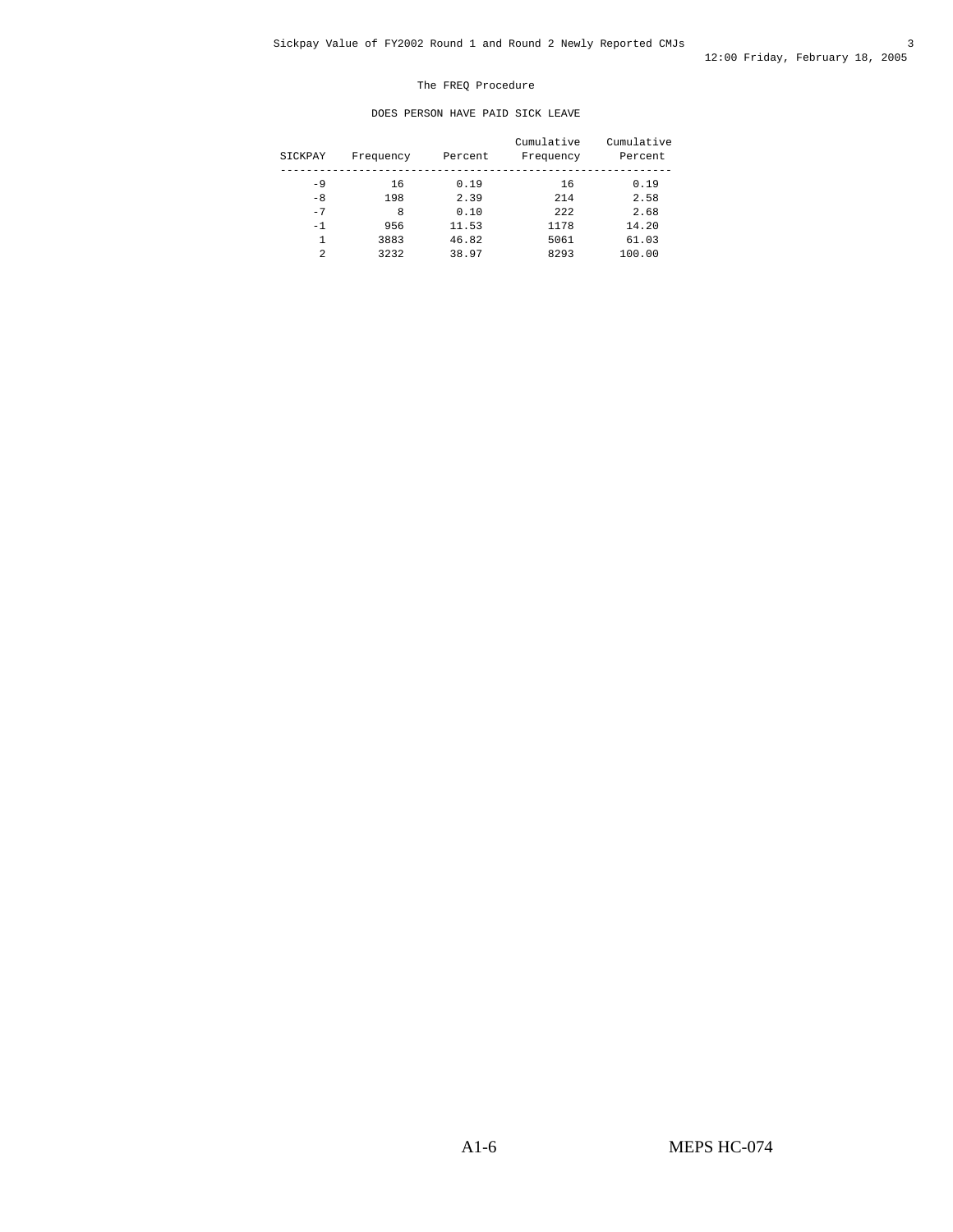#### The FREQ Procedure

#### DOES PERSON HAVE PAID SICK LEAVE

| SICKPAY | Frequency | Percent | Cumulative<br>Frequency | Cumulative<br>Percent |
|---------|-----------|---------|-------------------------|-----------------------|
| $-9$    | 16        | 0.19    | 16                      | 0.19                  |
| $-8$    | 198       | 2.39    | 214                     | 2.58                  |
| $-7$    | 8         | 0.10    | 222                     | 2.68                  |
| $-1$    | 956       | 11.53   | 1178                    | 14.20                 |
|         | 3883      | 46.82   | 5061                    | 61.03                 |
| 2       | 3232      | 38.97   | 8293                    | 100.00                |